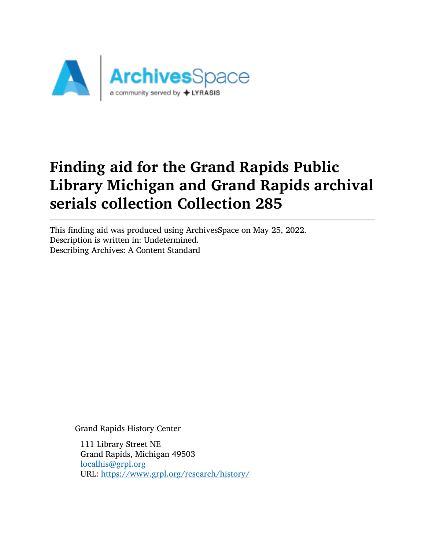

This finding aid was produced using ArchivesSpace on May 25, 2022. Description is written in: Undetermined. Describing Archives: A Content Standard

Grand Rapids History Center

111 Library Street NE Grand Rapids, Michigan 49503 [localhis@grpl.org](mailto:localhis@grpl.org) URL: <https://www.grpl.org/research/history/>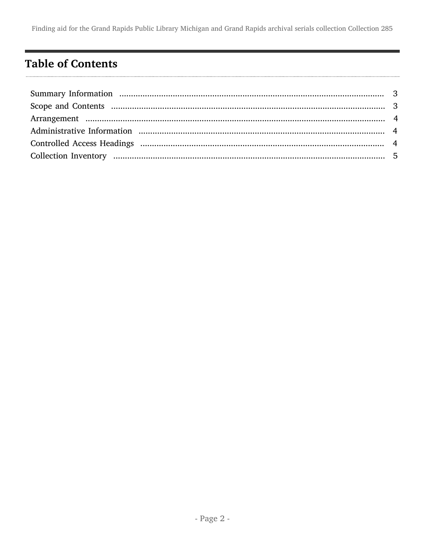## <span id="page-1-0"></span>**Table of Contents**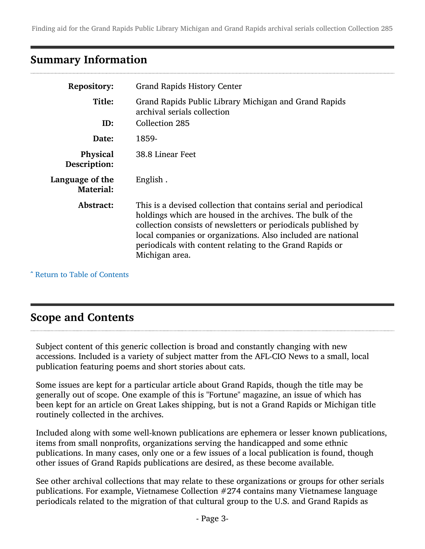## <span id="page-2-0"></span>Summary Information

| <b>Repository:</b>                         | <b>Grand Rapids History Center</b>                                                                                                                                                                                                                                                                                                             |
|--------------------------------------------|------------------------------------------------------------------------------------------------------------------------------------------------------------------------------------------------------------------------------------------------------------------------------------------------------------------------------------------------|
| Title:                                     | Grand Rapids Public Library Michigan and Grand Rapids<br>archival serials collection                                                                                                                                                                                                                                                           |
| ID:                                        | Collection 285                                                                                                                                                                                                                                                                                                                                 |
| Date:                                      | 1859-                                                                                                                                                                                                                                                                                                                                          |
| <b>Physical</b><br>Description:            | 38.8 Linear Feet                                                                                                                                                                                                                                                                                                                               |
| <b>Language of the</b><br><b>Material:</b> | English.                                                                                                                                                                                                                                                                                                                                       |
| Abstract:                                  | This is a devised collection that contains serial and periodical<br>holdings which are housed in the archives. The bulk of the<br>collection consists of newsletters or periodicals published by<br>local companies or organizations. Also included are national<br>periodicals with content relating to the Grand Rapids or<br>Michigan area. |

^ [Return to Table of Contents](#page-1-0)

## <span id="page-2-1"></span>Scope and Contents

Subject content of this generic collection is broad and constantly changing with new accessions. Included is a variety of subject matter from the AFL-CIO News to a small, local publication featuring poems and short stories about cats.

Some issues are kept for a particular article about Grand Rapids, though the title may be generally out of scope. One example of this is "Fortune" magazine, an issue of which has been kept for an article on Great Lakes shipping, but is not a Grand Rapids or Michigan title routinely collected in the archives.

Included along with some well-known publications are ephemera or lesser known publications, items from small nonprofits, organizations serving the handicapped and some ethnic publications. In many cases, only one or a few issues of a local publication is found, though other issues of Grand Rapids publications are desired, as these become available.

See other archival collections that may relate to these organizations or groups for other serials publications. For example, Vietnamese Collection #274 contains many Vietnamese language periodicals related to the migration of that cultural group to the U.S. and Grand Rapids as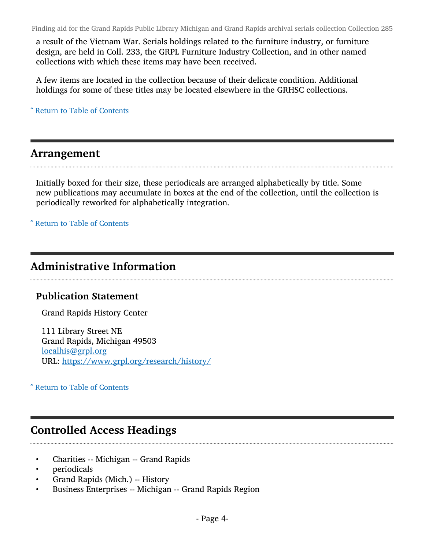a result of the Vietnam War. Serials holdings related to the furniture industry, or furniture design, are held in Coll. 233, the GRPL Furniture Industry Collection, and in other named collections with which these items may have been received.

A few items are located in the collection because of their delicate condition. Additional holdings for some of these titles may be located elsewhere in the GRHSC collections.

^ [Return to Table of Contents](#page-1-0)

#### <span id="page-3-0"></span>Arrangement

Initially boxed for their size, these periodicals are arranged alphabetically by title. Some new publications may accumulate in boxes at the end of the collection, until the collection is periodically reworked for alphabetically integration.

^ [Return to Table of Contents](#page-1-0)

## <span id="page-3-1"></span>Administrative Information

#### Publication Statement

Grand Rapids History Center

111 Library Street NE Grand Rapids, Michigan 49503 [localhis@grpl.org](mailto:localhis@grpl.org) URL: <https://www.grpl.org/research/history/>

^ [Return to Table of Contents](#page-1-0)

## <span id="page-3-2"></span>Controlled Access Headings

- Charities -- Michigan -- Grand Rapids
- periodicals
- Grand Rapids (Mich.) -- History
- Business Enterprises -- Michigan -- Grand Rapids Region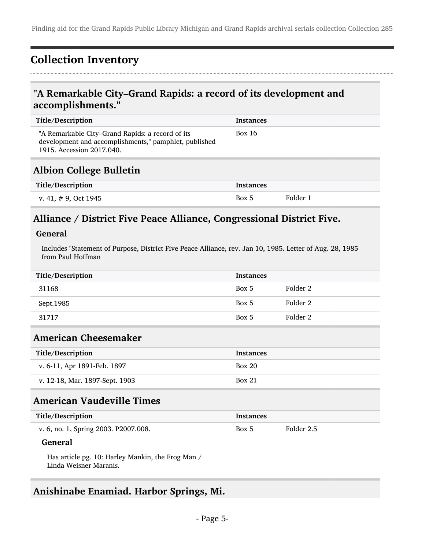## <span id="page-4-0"></span>Collection Inventory

## "A Remarkable City–Grand Rapids: a record of its development and accomplishments."

| Title/Description                                                                                                                      | <b>Instances</b> |          |
|----------------------------------------------------------------------------------------------------------------------------------------|------------------|----------|
| "A Remarkable City–Grand Rapids: a record of its<br>development and accomplishments," pamphlet, published<br>1915. Accession 2017.040. | Box 16           |          |
| <b>Albion College Bulletin</b>                                                                                                         |                  |          |
| Title/Description                                                                                                                      | <b>Instances</b> |          |
| v. 41, $\#$ 9, Oct 1945                                                                                                                | Box 5            | Folder 1 |

## Alliance / District Five Peace Alliance, Congressional District Five.

#### General

Includes "Statement of Purpose, District Five Peace Alliance, rev. Jan 10, 1985. Letter of Aug. 28, 1985 from Paul Hoffman

| Title/Description | <b>Instances</b> |          |
|-------------------|------------------|----------|
| 31168             | Box 5            | Folder 2 |
| Sept.1985         | Box 5            | Folder 2 |
| 31717             | Box 5            | Folder 2 |

## American Cheesemaker

| Title/Description              | <b>Instances</b> |
|--------------------------------|------------------|
| v. 6-11, Apr 1891-Feb. 1897    | Box 20           |
| v. 12-18, Mar. 1897-Sept. 1903 | Box 21           |

## American Vaudeville Times

| Title/Description                    | Instances |            |
|--------------------------------------|-----------|------------|
| v. 6, no. 1, Spring 2003. P2007.008. | Box 5     | Folder 2.5 |

#### General

Has article pg. 10: Harley Mankin, the Frog Man / Linda Weisner Maranis.

### Anishinabe Enamiad. Harbor Springs, Mi.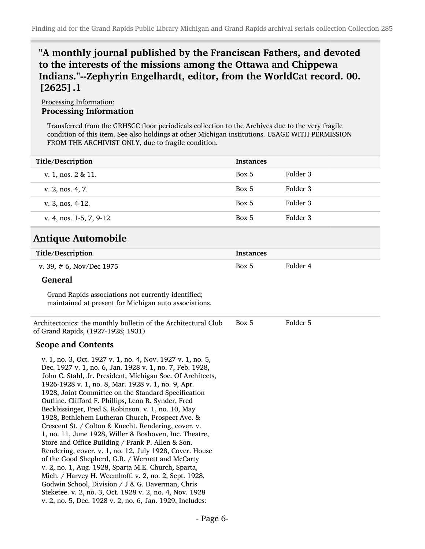## "A monthly journal published by the Franciscan Fathers, and devoted to the interests of the missions among the Ottawa and Chippewa Indians."--Zephyrin Engelhardt, editor, from the WorldCat record. 00. [2625].1

#### Processing Information: Processing Information

Transferred from the GRHSCC floor periodicals collection to the Archives due to the very fragile condition of this item. See also holdings at other Michigan institutions. USAGE WITH PERMISSION FROM THE ARCHIVIST ONLY, due to fragile condition.

| <b>Title/Description</b>                                                                                     | <b>Instances</b> |          |
|--------------------------------------------------------------------------------------------------------------|------------------|----------|
| v. 1, nos. 2 & 11.                                                                                           | Box 5            | Folder 3 |
| v. 2, nos. 4, 7.                                                                                             | Box 5            | Folder 3 |
| v. 3, nos. $4-12$ .                                                                                          | Box 5            | Folder 3 |
| v. 4, nos. 1-5, 7, 9-12.                                                                                     | Box 5            | Folder 3 |
| <b>Antique Automobile</b>                                                                                    |                  |          |
| Title/Description                                                                                            | <b>Instances</b> |          |
| v. 39, $# 6$ , Nov/Dec 1975                                                                                  | Box 5            | Folder 4 |
| <b>General</b>                                                                                               |                  |          |
| Grand Rapids associations not currently identified;<br>maintained at present for Michigan auto associations. |                  |          |
| Architectonics: the monthly bulletin of the Architectural Club<br>of Grand Rapids, (1927-1928; 1931)         | Box 5            | Folder 5 |

#### Scope and Contents

v. 1, no. 3, Oct. 1927 v. 1, no. 4, Nov. 1927 v. 1, no. 5, Dec. 1927 v. 1, no. 6, Jan. 1928 v. 1, no. 7, Feb. 1928, John C. Stahl, Jr. President, Michigan Soc. Of Architects, 1926-1928 v. 1, no. 8, Mar. 1928 v. 1, no. 9, Apr. 1928, Joint Committee on the Standard Specification Outline. Clifford F. Phillips, Leon R. Synder, Fred Beckbissinger, Fred S. Robinson. v. 1, no. 10, May 1928, Bethlehem Lutheran Church, Prospect Ave. & Crescent St. / Colton & Knecht. Rendering, cover. v. 1, no. 11, June 1928, Willer & Boshoven, Inc. Theatre, Store and Office Building / Frank P. Allen & Son. Rendering, cover. v. 1, no. 12, July 1928, Cover. House of the Good Shepherd, G.R. / Wernett and McCarty v. 2, no. 1, Aug. 1928, Sparta M.E. Church, Sparta, Mich. / Harvey H. Weemhoff. v. 2, no. 2, Sept. 1928, Godwin School, Division / J & G. Daverman, Chris Steketee. v. 2, no. 3, Oct. 1928 v. 2, no. 4, Nov. 1928 v. 2, no. 5, Dec. 1928 v. 2, no. 6, Jan. 1929, Includes: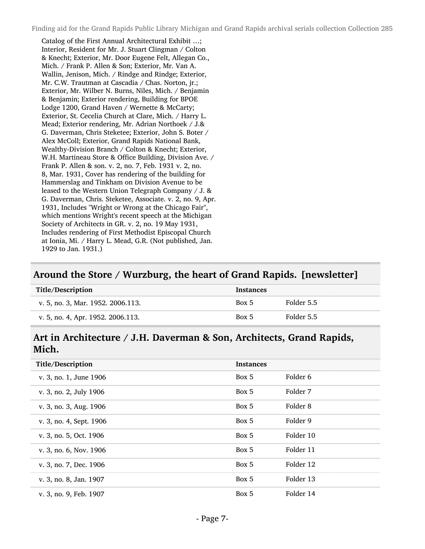Catalog of the First Annual Architectural Exhibit …; Interior, Resident for Mr. J. Stuart Clingman / Colton & Knecht; Exterior, Mr. Door Eugene Felt, Allegan Co., Mich. / Frank P. Allen & Son; Exterior, Mr. Van A. Wallin, Jenison, Mich. / Rindge and Rindge; Exterior, Mr. C.W. Trautman at Cascadia / Chas. Norton, jr.; Exterior, Mr. Wilber N. Burns, Niles, Mich. / Benjamin & Benjamin; Exterior rendering, Building for BPOE Lodge 1200, Grand Haven / Wernette & McCarty; Exterior, St. Cecelia Church at Clare, Mich. / Harry L. Mead; Exterior rendering, Mr. Adrian Northoek / J.& G. Daverman, Chris Steketee; Exterior, John S. Boter / Alex McColl; Exterior, Grand Rapids National Bank, Wealthy-Division Branch / Colton & Knecht; Exterior, W.H. Martineau Store & Office Building, Division Ave. / Frank P. Allen & son. v. 2, no. 7, Feb. 1931 v. 2, no. 8, Mar. 1931, Cover has rendering of the building for Hammerslag and Tinkham on Division Avenue to be leased to the Western Union Telegraph Company / J. & G. Daverman, Chris. Steketee, Associate. v. 2, no. 9, Apr. 1931, Includes "Wright or Wrong at the Chicago Fair", which mentions Wright's recent speech at the Michigan Society of Architects in GR. v. 2, no. 19 May 1931, Includes rendering of First Methodist Episcopal Church at Ionia, Mi. / Harry L. Mead, G.R. (Not published, Jan. 1929 to Jan. 1931.)

#### Around the Store / Wurzburg, the heart of Grand Rapids. [newsletter]

| Title/Description                 | <b>Instances</b> |            |
|-----------------------------------|------------------|------------|
| v. 5, no. 3, Mar. 1952. 2006.113. | Box 5            | Folder 5.5 |
| v. 5, no. 4, Apr. 1952. 2006.113. | Box 5            | Folder 5.5 |

#### Art in Architecture / J.H. Daverman & Son, Architects, Grand Rapids, Mich.

| Title/Description       | <b>Instances</b> |           |
|-------------------------|------------------|-----------|
| v. 3, no. 1, June 1906  | Box 5            | Folder 6  |
| v. 3, no. 2, July 1906  | Box 5            | Folder 7  |
| v. 3, no. 3, Aug. 1906  | Box 5            | Folder 8  |
| v. 3, no. 4, Sept. 1906 | Box 5            | Folder 9  |
| v. 3, no. 5, Oct. 1906  | Box 5            | Folder 10 |
| v. 3, no. 6, Nov. 1906  | Box 5            | Folder 11 |
| v. 3, no. 7, Dec. 1906  | Box 5            | Folder 12 |
| v. 3, no. 8, Jan. 1907  | Box 5            | Folder 13 |
| v. 3, no. 9, Feb. 1907  | Box 5            | Folder 14 |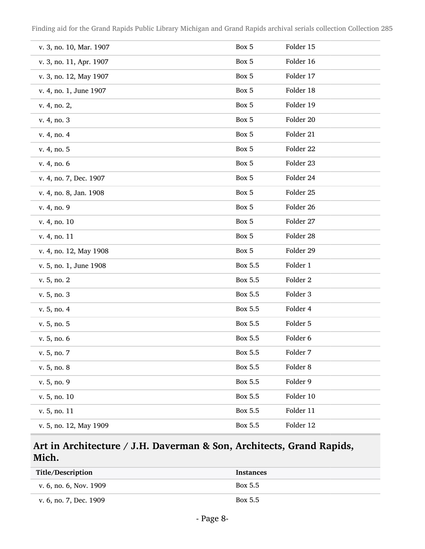| v. 3, no. 10, Mar. 1907 | Box 5   | Folder 15 |
|-------------------------|---------|-----------|
| v. 3, no. 11, Apr. 1907 | Box 5   | Folder 16 |
| v. 3, no. 12, May 1907  | Box 5   | Folder 17 |
| v. 4, no. 1, June 1907  | Box 5   | Folder 18 |
| v. 4, no. 2,            | Box 5   | Folder 19 |
| v. 4, no. 3             | Box 5   | Folder 20 |
| v. 4, no. 4             | Box 5   | Folder 21 |
| v. 4, no. 5             | Box 5   | Folder 22 |
| v. 4, no. 6             | Box 5   | Folder 23 |
| v. 4, no. 7, Dec. 1907  | Box 5   | Folder 24 |
| v. 4, no. 8, Jan. 1908  | Box 5   | Folder 25 |
| v. 4, no. 9             | Box 5   | Folder 26 |
| v. 4, no. 10            | Box 5   | Folder 27 |
| v. 4, no. 11            | Box 5   | Folder 28 |
| v. 4, no. 12, May 1908  | Box 5   | Folder 29 |
| v. 5, no. 1, June 1908  | Box 5.5 | Folder 1  |
| v. 5, no. 2             | Box 5.5 | Folder 2  |
| v. 5, no. 3             | Box 5.5 | Folder 3  |
| v. 5, no. 4             | Box 5.5 | Folder 4  |
| v. 5, no. 5             | Box 5.5 | Folder 5  |
| v. 5, no. 6             | Box 5.5 | Folder 6  |
| v. 5, no. 7             | Box 5.5 | Folder 7  |
| v. 5, no. 8             | Box 5.5 | Folder 8  |
| v. 5, no. 9             | Box 5.5 | Folder 9  |
| v. 5, no. 10            | Box 5.5 | Folder 10 |
| v. 5, no. 11            | Box 5.5 | Folder 11 |
| v. 5, no. 12, May 1909  | Box 5.5 | Folder 12 |

## Art in Architecture / J.H. Daverman & Son, Architects, Grand Rapids, Mich.

| Title/Description      | <b>Instances</b> |
|------------------------|------------------|
| v. 6, no. 6, Nov. 1909 | Box 5.5          |
| v. 6, no. 7, Dec. 1909 | Box 5.5          |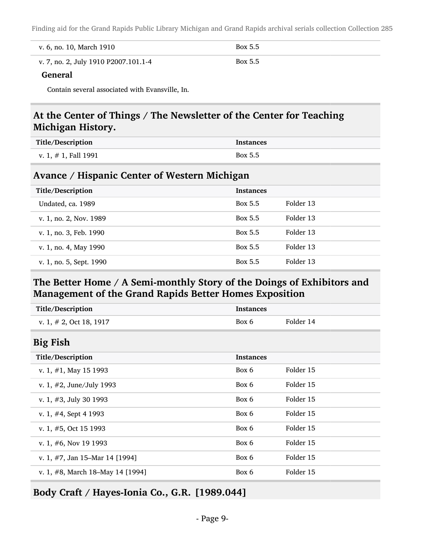| v. 6, no. 10, March 1910             | Box 5.5 |
|--------------------------------------|---------|
| v. 7, no. 2, July 1910 P2007.101.1-4 | Box 5.5 |

#### General

Contain several associated with Evansville, In.

## At the Center of Things / The Newsletter of the Center for Teaching Michigan History.

| Title/Description       | <b>Instances</b> |
|-------------------------|------------------|
| v. 1, $\#$ 1, Fall 1991 | Box 5.5          |

#### Avance / Hispanic Center of Western Michigan

| Title/Description       | <b>Instances</b> |           |
|-------------------------|------------------|-----------|
| Undated, ca. 1989       | Box 5.5          | Folder 13 |
| v. 1, no. 2, Nov. 1989  | Box 5.5          | Folder 13 |
| v. 1, no. 3, Feb. 1990  | Box 5.5          | Folder 13 |
| v. 1, no. 4, May 1990   | Box 5.5          | Folder 13 |
| v. 1, no. 5, Sept. 1990 | Box 5.5          | Folder 13 |

## The Better Home / A Semi-monthly Story of the Doings of Exhibitors and Management of the Grand Rapids Better Homes Exposition

| Title/Description                 | <b>Instances</b> |           |
|-----------------------------------|------------------|-----------|
| v. 1, $\#$ 2, Oct 18, 1917        | Box 6            | Folder 14 |
| <b>Big Fish</b>                   |                  |           |
| Title/Description                 | <b>Instances</b> |           |
| v. 1, $\#1$ , May 15 1993         | Box 6            | Folder 15 |
| v. 1, $#2$ , June/July 1993       | Box 6            | Folder 15 |
| v. 1, $#3$ , July 30 1993         | Box 6            | Folder 15 |
| v. 1, $#4$ , Sept 4 1993          | Box 6            | Folder 15 |
| v. 1, $#5$ , Oct 15 1993          | Box 6            | Folder 15 |
| v. 1, $#6$ , Nov 19 1993          | Box 6            | Folder 15 |
| v. 1, $#7$ , Jan 15–Mar 14 [1994] | Box 6            | Folder 15 |
| v. 1, #8, March 18–May 14 [1994]  | Box 6            | Folder 15 |
|                                   |                  |           |

Body Craft / Hayes-Ionia Co., G.R. [1989.044]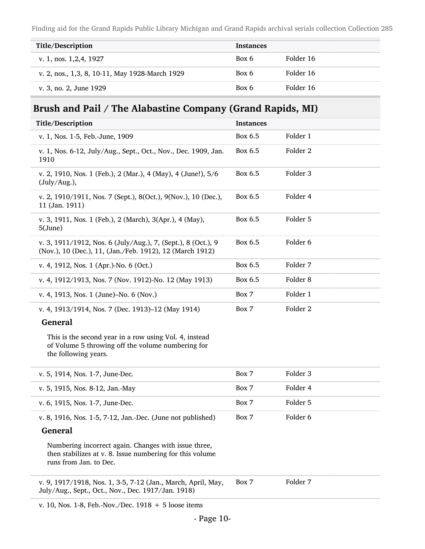| Title/Description                              | <b>Instances</b> |           |
|------------------------------------------------|------------------|-----------|
| v. 1, nos. 1, 2, 4, 1927                       | Box 6            | Folder 16 |
| v. 2, nos., 1,3, 8, 10-11, May 1928-March 1929 | Box 6            | Folder 16 |
| v. 3, no. 2, June 1929                         | Box 6            | Folder 16 |

## Brush and Pail / The Alabastine Company (Grand Rapids, MI)

| Title/Description                                                                                                                   | <b>Instances</b> |                     |
|-------------------------------------------------------------------------------------------------------------------------------------|------------------|---------------------|
| v. 1, Nos. 1-5, Feb.-June, 1909                                                                                                     | Box 6.5          | Folder 1            |
| v. 1, Nos. 6-12, July/Aug., Sept., Oct., Nov., Dec. 1909, Jan.<br>1910                                                              | Box 6.5          | Folder <sub>2</sub> |
| v. 2, 1910, Nos. 1 (Feb.), 2 (Mar.), 4 (May), 4 (June!), 5/6<br>(July/Aug.),                                                        | Box 6.5          | Folder 3            |
| v. 2, 1910/1911, Nos. 7 (Sept.), 8(Oct.), 9(Nov.), 10 (Dec.),<br>11 (Jan. 1911)                                                     | Box 6.5          | Folder 4            |
| v. 3, 1911, Nos. 1 (Feb.), 2 (March), 3(Apr.), 4 (May),<br>5(June)                                                                  | Box 6.5          | Folder 5            |
| v. 3, 1911/1912, Nos. 6 (July/Aug.), 7, (Sept.), 8 (Oct.), 9<br>(Nov.), 10 (Dec.), 11, (Jan./Feb. 1912), 12 (March 1912)            | Box 6.5          | Folder <sub>6</sub> |
| v. 4, 1912, Nos. 1 (Apr.)-No. 6 (Oct.)                                                                                              | Box 6.5          | Folder 7            |
| v. 4, 1912/1913, Nos. 7 (Nov. 1912)-No. 12 (May 1913)                                                                               | Box 6.5          | Folder <sub>8</sub> |
| v. 4, 1913, Nos. 1 (June)-No. 6 (Nov.)                                                                                              | Box 7            | Folder 1            |
| v. 4, 1913/1914, Nos. 7 (Dec. 1913)-12 (May 1914)                                                                                   | Box 7            | Folder <sub>2</sub> |
| <b>General</b>                                                                                                                      |                  |                     |
| This is the second year in a row using Vol. 4, instead<br>of Volume 5 throwing off the volume numbering for<br>the following years. |                  |                     |
| v. 5, 1914, Nos. 1-7, June-Dec.                                                                                                     | Box 7            | Folder 3            |
| v. 5, 1915, Nos. 8-12, Jan.-May                                                                                                     | Box 7            | Folder 4            |
| v. 6, 1915, Nos. 1-7, June-Dec.                                                                                                     | Box 7            | Folder 5            |
| v. 8, 1916, Nos. 1-5, 7-12, Jan.-Dec. (June not published)                                                                          | Box 7            | Folder 6            |

#### General

Numbering incorrect again. Changes with issue three, then stabilizes at v. 8. Issue numbering for this volume runs from Jan. to Dec.

v. 9, 1917/1918, Nos. 1, 3-5, 7-12 (Jan., March, April, May, July/Aug., Sept., Oct., Nov., Dec. 1917/Jan. 1918) Box 7 Folder 7

v. 10, Nos. 1-8, Feb.-Nov./Dec. 1918 + 5 loose items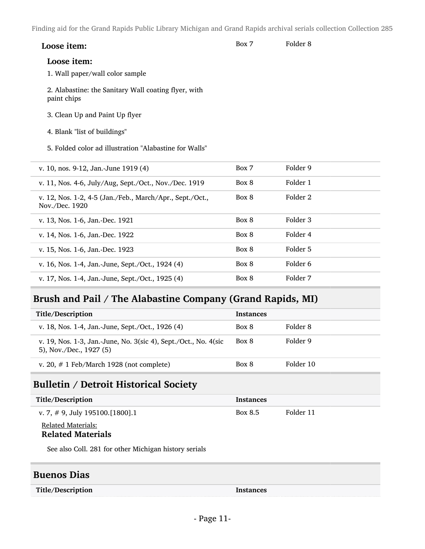| Loose item: | Box 7 | Folder 8 |
|-------------|-------|----------|
|-------------|-------|----------|

#### Loose item:

- 1. Wall paper/wall color sample
- 2. Alabastine: the Sanitary Wall coating flyer, with paint chips
- 3. Clean Up and Paint Up flyer
- 4. Blank "list of buildings"
- 5. Folded color ad illustration "Alabastine for Walls"

| v. 10, nos. 9-12, Jan.-June 1919 (4)                                       | Box 7 | Folder 9 |
|----------------------------------------------------------------------------|-------|----------|
| v. 11, Nos. 4-6, July/Aug, Sept./Oct., Nov./Dec. 1919                      | Box 8 | Folder 1 |
| v. 12, Nos. 1-2, 4-5 (Jan./Feb., March/Apr., Sept./Oct.,<br>Nov./Dec. 1920 | Box 8 | Folder 2 |
| v. 13, Nos. 1-6, Jan.-Dec. 1921                                            | Box 8 | Folder 3 |
| v. 14, Nos. 1-6, Jan.-Dec. 1922                                            | Box 8 | Folder 4 |
| v. 15, Nos. 1-6, Jan.-Dec. 1923                                            | Box 8 | Folder 5 |
| v. 16, Nos. 1-4, Jan.-June, Sept./Oct., 1924 (4)                           | Box 8 | Folder 6 |
| v. 17, Nos. 1-4, Jan.-June, Sept./Oct., 1925 (4)                           | Box 8 | Folder 7 |

## Brush and Pail / The Alabastine Company (Grand Rapids, MI)

| Title/Description                                                                          | <b>Instances</b> |           |
|--------------------------------------------------------------------------------------------|------------------|-----------|
| v. 18, Nos. 1-4, Jan.-June, Sept./Oct., 1926 (4)                                           | Box 8            | Folder 8  |
| v. 19, Nos. 1-3, Jan.-June, No. 3(sic 4), Sept./Oct., No. 4(sic<br>5), Nov./Dec., 1927 (5) | Box 8            | Folder 9  |
| v. 20, $\#$ 1 Feb/March 1928 (not complete)                                                | Box 8            | Folder 10 |

### Bulletin / Detroit Historical Society

| Title/Description                 | <b>Instances</b> |           |
|-----------------------------------|------------------|-----------|
| v. 7, # 9, July 195100. [1800]. 1 | Box 8.5          | Folder 11 |
| <b>Related Materials:</b>         |                  |           |

#### Related Materials

See also Coll. 281 for other Michigan history serials

#### Buenos Dias

Title/Description Instances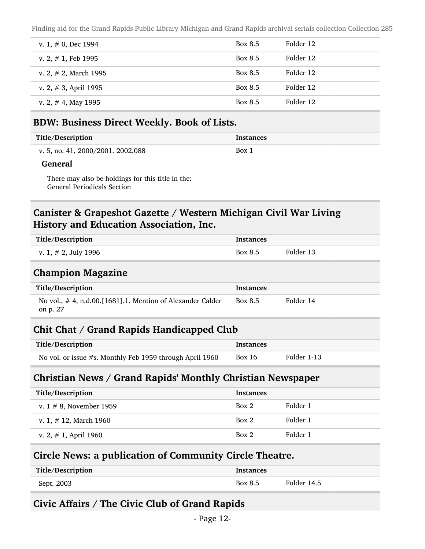| v. 1, $\#$ 0, Dec 1994   | Box 8.5        | Folder 12 |
|--------------------------|----------------|-----------|
| v. 2, $\#$ 1, Feb 1995   | Box 8.5        | Folder 12 |
| v. 2, $\#$ 2, March 1995 | Box 8.5        | Folder 12 |
| v. 2, $\#$ 3, April 1995 | <b>Box 8.5</b> | Folder 12 |
| v. 2, $\#$ 4, May 1995   | Box 8.5        | Folder 12 |

#### BDW: Business Direct Weekly. Book of Lists.

| Title/Description                 | <b>Instances</b> |
|-----------------------------------|------------------|
| v. 5, no. 41, 2000/2001. 2002.088 | Box 1            |
|                                   |                  |

#### General

There may also be holdings for this title in the: General Periodicals Section

### Canister & Grapeshot Gazette / Western Michigan Civil War Living History and Education Association, Inc.

| <b>Title/Description</b>                                                  | <b>Instances</b> |             |  |
|---------------------------------------------------------------------------|------------------|-------------|--|
| v. 1, $# 2$ , July 1996                                                   | Box 8.5          | Folder 13   |  |
| <b>Champion Magazine</b>                                                  |                  |             |  |
| Title/Description                                                         | <b>Instances</b> |             |  |
| No vol., $\#$ 4, n.d.00.[1681].1. Mention of Alexander Calder<br>on p. 27 | Box 8.5          | Folder 14   |  |
| Chit Chat / Grand Rapids Handicapped Club                                 |                  |             |  |
| Title/Description                                                         | <b>Instances</b> |             |  |
| No vol. or issue #s. Monthly Feb 1959 through April 1960                  | Box $16$         | Folder 1-13 |  |
| <b>Christian News / Grand Rapids' Monthly Christian Newspaper</b>         |                  |             |  |
| <b>Title/Description</b>                                                  | <b>Instances</b> |             |  |
| v. $1 \# 8$ , November 1959                                               | Box 2            | Folder 1    |  |
| v. 1, $\#$ 12, March 1960                                                 | Box 2            | Folder 1    |  |
| v. 2, $\#$ 1, April 1960                                                  | Box 2            | Folder 1    |  |
|                                                                           |                  |             |  |

### Circle News: a publication of Community Circle Theatre.

| Title/Description | <b>Instances</b> |             |
|-------------------|------------------|-------------|
| Sept. 2003        | <b>Box 8.5</b>   | Folder 14.5 |

### Civic Affairs / The Civic Club of Grand Rapids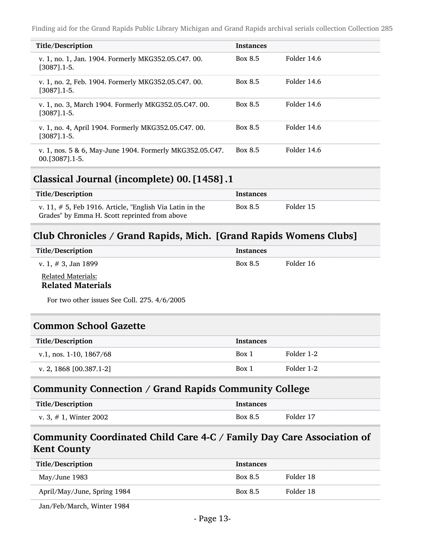| Title/Description                                                             | <b>Instances</b> |             |
|-------------------------------------------------------------------------------|------------------|-------------|
| v. 1, no. 1, Jan. 1904. Formerly MKG352.05.C47. 00.<br>$[3087]$ .1-5.         | Box 8.5          | Folder 14.6 |
| v. 1, no. 2, Feb. 1904. Formerly MKG352.05.C47. 00.<br>$[3087]$ . 1-5.        | Box 8.5          | Folder 14.6 |
| v. 1, no. 3, March 1904. Formerly MKG352.05.C47. 00.<br>[3087].1-5.           | Box 8.5          | Folder 14.6 |
| v. 1, no. 4, April 1904. Formerly MKG352.05.C47. 00.<br>$[3087]$ . 1-5.       | Box 8.5          | Folder 14.6 |
| v. 1, nos. 5 & 6, May-June 1904. Formerly MKG352.05.C47.<br>00. [3087] . 1-5. | Box 8.5          | Folder 14.6 |

#### Classical Journal (incomplete) 00.[1458].1

| Title/Description                                                                                            | Instances |           |
|--------------------------------------------------------------------------------------------------------------|-----------|-----------|
| v. 11, $\#$ 5, Feb 1916. Article, "English Via Latin in the<br>Grades" by Emma H. Scott reprinted from above | Box 8.5   | Folder 15 |

### Club Chronicles / Grand Rapids, Mich. [Grand Rapids Womens Clubs]

| Title/Description                              | <b>Instances</b> |           |
|------------------------------------------------|------------------|-----------|
| v. 1, $# 3$ , Jan 1899                         | Box 8.5          | Folder 16 |
| Related Materials:<br><b>Related Materials</b> |                  |           |

For two other issues See Coll. 275. 4/6/2005

#### Common School Gazette

| Title/Description            | <b>Instances</b> |            |
|------------------------------|------------------|------------|
| v.1, nos. $1-10$ , $1867/68$ | Box 1            | Folder 1-2 |
| v. 2, 1868 $[00.387.1-2]$    | Box 1            | Folder 1-2 |

#### Community Connection / Grand Rapids Community College

| Title/Description         | Instances |           |
|---------------------------|-----------|-----------|
| v. 3, $\#$ 1, Winter 2002 | Box 8.5   | Folder 17 |

### Community Coordinated Child Care 4-C / Family Day Care Association of Kent County

| Title/Description           | <b>Instances</b> |           |
|-----------------------------|------------------|-----------|
| May/June 1983               | Box 8.5          | Folder 18 |
| April/May/June, Spring 1984 | Box 8.5          | Folder 18 |
|                             |                  |           |

Jan/Feb/March, Winter 1984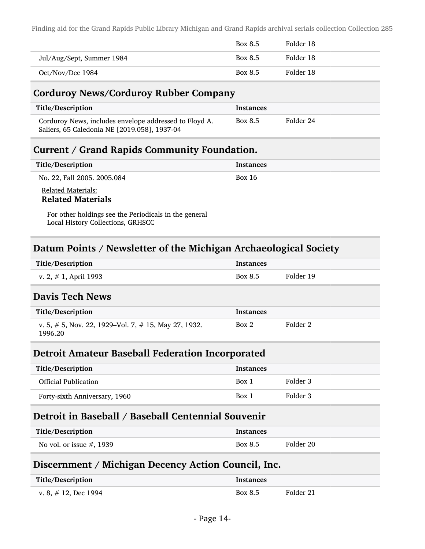|                           | Box 8.5 | Folder 18 |
|---------------------------|---------|-----------|
| Jul/Aug/Sept, Summer 1984 | Box 8.5 | Folder 18 |
| Oct/Nov/Dec 1984          | Box 8.5 | Folder 18 |

#### Corduroy News/Corduroy Rubber Company

| Title/Description                                                                                      | Instances |           |
|--------------------------------------------------------------------------------------------------------|-----------|-----------|
| Corduroy News, includes envelope addressed to Floyd A.<br>Saliers, 65 Caledonia NE [2019.058], 1937-04 | Box 8.5   | Folder 24 |

#### Current / Grand Rapids Community Foundation.

| Title/Description                                     | <b>Instances</b> |
|-------------------------------------------------------|------------------|
| No. 22, Fall 2005. 2005.084                           | Box 16           |
| <b>Related Materials:</b><br><b>Related Materials</b> |                  |

For other holdings see the Periodicals in the general Local History Collections, GRHSCC

### Datum Points / Newsletter of the Michigan Archaeological Society

| Title/Description                                                     | <b>Instances</b> |           |
|-----------------------------------------------------------------------|------------------|-----------|
| v. 2, $\#$ 1, April 1993                                              | Box 8.5          | Folder 19 |
| <b>Davis Tech News</b>                                                |                  |           |
| Title/Description                                                     | <b>Instances</b> |           |
| v. 5, $\#$ 5, Nov. 22, 1929–Vol. 7, $\#$ 15, May 27, 1932.<br>1996.20 | Box 2            | Folder 2  |

#### Detroit Amateur Baseball Federation Incorporated

| Title/Description             | <b>Instances</b> |          |
|-------------------------------|------------------|----------|
| <b>Official Publication</b>   | Box 1            | Folder 3 |
| Forty-sixth Anniversary, 1960 | Box 1            | Folder 3 |

### Detroit in Baseball / Baseball Centennial Souvenir

| Title/Description           | <b>Instances</b> |           |
|-----------------------------|------------------|-----------|
| No vol. or issue $#$ , 1939 | Box 8.5          | Folder 20 |

#### Discernment / Michigan Decency Action Council, Inc.

| Title/Description       | <b>Instances</b> |           |
|-------------------------|------------------|-----------|
| v. 8, $\#$ 12, Dec 1994 | Box 8.5          | Folder 21 |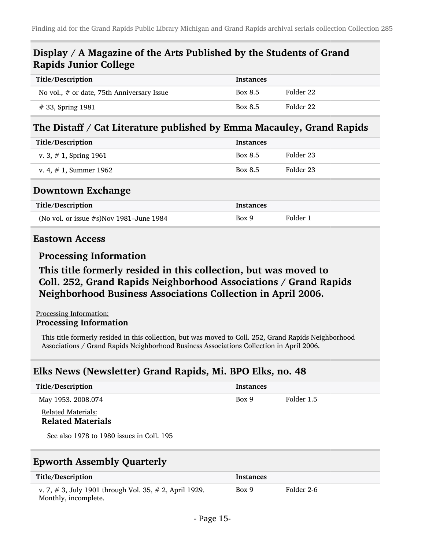### Display / A Magazine of the Arts Published by the Students of Grand Rapids Junior College

| Title/Description                          | <b>Instances</b> |           |
|--------------------------------------------|------------------|-----------|
| No vol., # or date, 75th Anniversary Issue | Box 8.5          | Folder 22 |
| $# 33$ , Spring 1981                       | Box 8.5          | Folder 22 |

#### The Distaff / Cat Literature published by Emma Macauley, Grand Rapids

| <b>Instances</b> |           |
|------------------|-----------|
| Box 8.5          | Folder 23 |
| Box 8.5          | Folder 23 |
|                  |           |
|                  |           |
| <b>Instances</b> |           |
|                  |           |

#### Eastown Access

#### Processing Information

## This title formerly resided in this collection, but was moved to Coll. 252, Grand Rapids Neighborhood Associations / Grand Rapids Neighborhood Business Associations Collection in April 2006.

#### Processing Information: Processing Information

This title formerly resided in this collection, but was moved to Coll. 252, Grand Rapids Neighborhood Associations / Grand Rapids Neighborhood Business Associations Collection in April 2006.

### Elks News (Newsletter) Grand Rapids, Mi. BPO Elks, no. 48

| Title/Description                                     | <b>Instances</b> |            |
|-------------------------------------------------------|------------------|------------|
| May 1953. 2008.074                                    | Box 9            | Folder 1.5 |
| <b>Related Materials:</b><br><b>Related Materials</b> |                  |            |
| See also 1978 to 1980 issues in Coll. 195             |                  |            |

### Epworth Assembly Quarterly

| Title/Description                                                              | Instances |            |
|--------------------------------------------------------------------------------|-----------|------------|
| v. 7, # 3, July 1901 through Vol. 35, # 2, April 1929.<br>Monthly, incomplete. | Box 9     | Folder 2-6 |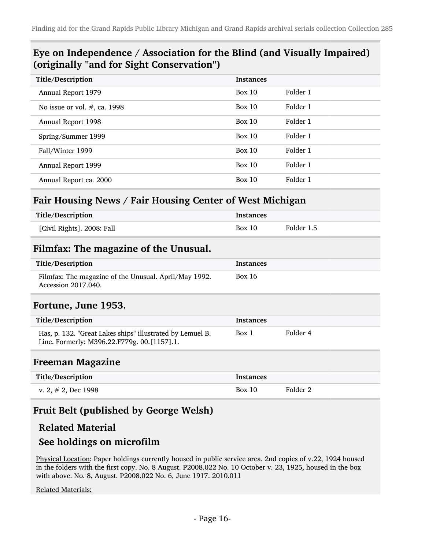### Eye on Independence / Association for the Blind (and Visually Impaired) (originally "and for Sight Conservation")

| Title/Description               | <b>Instances</b> |          |
|---------------------------------|------------------|----------|
| Annual Report 1979              | Box 10           | Folder 1 |
| No issue or vol. $#$ , ca. 1998 | Box 10           | Folder 1 |
| Annual Report 1998              | Box 10           | Folder 1 |
| Spring/Summer 1999              | Box $10$         | Folder 1 |
| Fall/Winter 1999                | Box $10$         | Folder 1 |
| Annual Report 1999              | Box 10           | Folder 1 |
| Annual Report ca. 2000          | Box $10$         | Folder 1 |

### Fair Housing News / Fair Housing Center of West Michigan

| Title/Description          | <b>Instances</b> |            |
|----------------------------|------------------|------------|
| [Civil Rights]. 2008: Fall | Box 10           | Folder 1.5 |

#### Filmfax: The magazine of the Unusual.

| Title/Description                                                            | Instances |
|------------------------------------------------------------------------------|-----------|
| Filmfax: The magazine of the Unusual. April/May 1992.<br>Accession 2017.040. | Box 16    |

#### Fortune, June 1953.

| Title/Description                                                                                        | Instances |          |
|----------------------------------------------------------------------------------------------------------|-----------|----------|
| Has, p. 132. "Great Lakes ships" illustrated by Lemuel B.<br>Line. Formerly: M396.22.F779g. 00.[1157].1. | Box 1     | Folder 4 |

#### Freeman Magazine

| Title/Description      | Instances |          |
|------------------------|-----------|----------|
| v. 2, $\#$ 2, Dec 1998 | Box 10    | Folder 2 |

### Fruit Belt (published by George Welsh)

#### Related Material

### See holdings on microfilm

Physical Location: Paper holdings currently housed in public service area. 2nd copies of v.22, 1924 housed in the folders with the first copy. No. 8 August. P2008.022 No. 10 October v. 23, 1925, housed in the box with above. No. 8, August. P2008.022 No. 6, June 1917. 2010.011

#### Related Materials: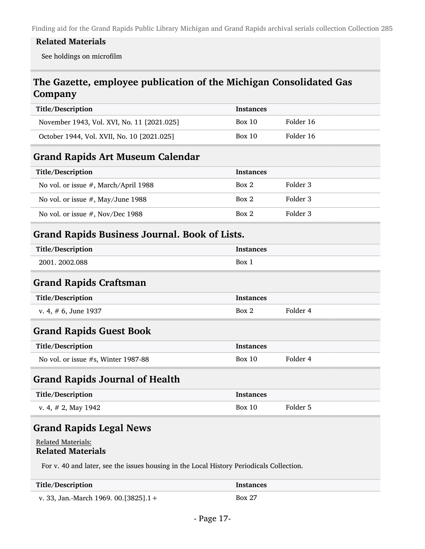#### Related Materials

See holdings on microfilm

## The Gazette, employee publication of the Michigan Consolidated Gas Company

| Title/Description                          | <b>Instances</b> |           |
|--------------------------------------------|------------------|-----------|
| November 1943, Vol. XVI, No. 11 [2021.025] | Box 10           | Folder 16 |
| October 1944, Vol. XVII, No. 10 [2021.025] | Box 10           | Folder 16 |

#### Grand Rapids Art Museum Calendar

| Title/Description                    | <b>Instances</b> |          |
|--------------------------------------|------------------|----------|
| No vol. or issue #, March/April 1988 | Box 2            | Folder 3 |
| No vol. or issue $#$ , May/June 1988 | Box 2            | Folder 3 |
| No vol. or issue $#$ , Nov/Dec 1988  | Box 2            | Folder 3 |

#### Grand Rapids Business Journal. Book of Lists.

| Title/Description | Instances  |
|-------------------|------------|
| 2001.2002.088     | <b>Box</b> |

#### Grand Rapids Craftsman

| Title/Description    | <b>Instances</b> |          |
|----------------------|------------------|----------|
| v. 4, # 6, June 1937 | Box 2            | Folder 4 |

#### Grand Rapids Guest Book

| Title/Description                   | <b>Instances</b> |          |
|-------------------------------------|------------------|----------|
| No vol. or issue #s, Winter 1987-88 | Box 10           | Folder 4 |

#### Grand Rapids Journal of Health

| Title/Description      | <b>Instances</b> |          |
|------------------------|------------------|----------|
| v. 4, $\#$ 2, May 1942 | Box 10           | Folder 5 |

#### Grand Rapids Legal News

#### Related Materials: Related Materials

For v. 40 and later, see the issues housing in the Local History Periodicals Collection.

| Title/Description                        | Instances     |
|------------------------------------------|---------------|
| v. 33, Jan.-March 1969. 00. [3825]. $1+$ | <b>Box 27</b> |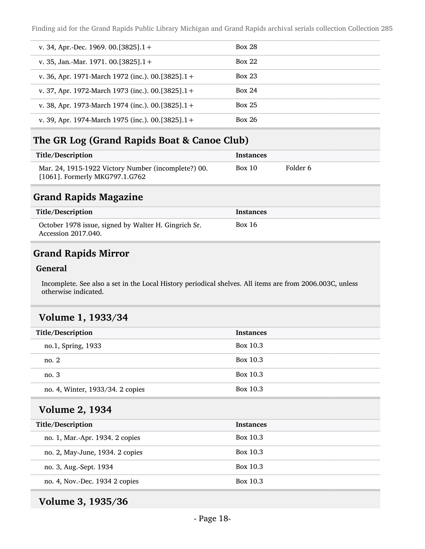| v. 34, Apr.-Dec. 1969. 00. [3825]. $1 +$          | <b>Box 28</b> |
|---------------------------------------------------|---------------|
| v. 35, Jan.-Mar. 1971. 00. [3825]. $1 +$          | Box 22        |
| v. 36, Apr. 1971-March 1972 (inc.). 00.[3825].1+  | <b>Box 23</b> |
| v. 37, Apr. 1972-March 1973 (inc.). 00.[3825].1+  | Box 24        |
| v. 38, Apr. 1973-March 1974 (inc.). 00.[3825].1 + | <b>Box 25</b> |
| v. 39, Apr. 1974-March 1975 (inc.). 00.[3825].1+  | <b>Box 26</b> |

### The GR Log (Grand Rapids Boat & Canoe Club)

| Title/Description                                                                     | Instances |          |
|---------------------------------------------------------------------------------------|-----------|----------|
| Mar. 24, 1915-1922 Victory Number (incomplete?) 00.<br>[1061]. Formerly MKG797.1.G762 | Box 10    | Folder 6 |

#### Grand Rapids Magazine

| Title/Description                                                           | Instances |
|-----------------------------------------------------------------------------|-----------|
| October 1978 issue, signed by Walter H. Gingrich Sr.<br>Accession 2017.040. | Box 16    |

### Grand Rapids Mirror

#### General

Incomplete. See also a set in the Local History periodical shelves. All items are from 2006.003C, unless otherwise indicated.

#### Volume 1, 1933/34

| Title/Description                | <b>Instances</b> |
|----------------------------------|------------------|
| no.1, Spring, 1933               | Box 10.3         |
| no. $2$                          | Box 10.3         |
| no.3                             | Box 10.3         |
| no. 4, Winter, 1933/34. 2 copies | Box 10.3         |
|                                  |                  |

## Volume 2, 1934

| Title/Description               | <b>Instances</b> |
|---------------------------------|------------------|
| no. 1, Mar.-Apr. 1934. 2 copies | Box 10.3         |
| no. 2, May-June, 1934. 2 copies | Box 10.3         |
| no. 3, Aug.-Sept. 1934          | Box 10.3         |
| no. 4, Nov.-Dec. 1934 2 copies  | Box 10.3         |

## Volume 3, 1935/36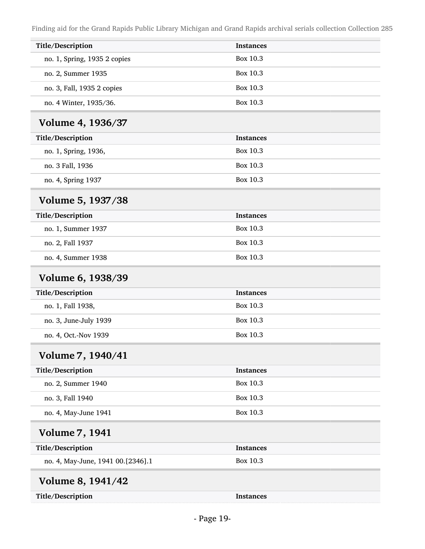| Title/Description                 | <b>Instances</b> |
|-----------------------------------|------------------|
| no. 1, Spring, 1935 2 copies      | Box 10.3         |
| no. 2, Summer 1935                | Box 10.3         |
| no. 3, Fall, 1935 2 copies        | Box 10.3         |
| no. 4 Winter, 1935/36.            | Box 10.3         |
|                                   |                  |
| Volume 4, 1936/37                 |                  |
| Title/Description                 | <b>Instances</b> |
| no. 1, Spring, 1936,              | Box 10.3         |
| no. 3 Fall, 1936                  | Box 10.3         |
| no. 4, Spring 1937                | Box 10.3         |
| Volume 5, 1937/38                 |                  |
| Title/Description                 | <b>Instances</b> |
| no. 1, Summer 1937                | Box 10.3         |
| no. 2, Fall 1937                  | Box 10.3         |
| no. 4, Summer 1938                | Box 10.3         |
| Volume 6, 1938/39                 |                  |
| Title/Description                 | <b>Instances</b> |
| no. 1, Fall 1938,                 | Box 10.3         |
| no. 3, June-July 1939             | Box 10.3         |
| no. 4, Oct.-Nov 1939              | Box 10.3         |
| Volume 7, 1940/41                 |                  |
| Title/Description                 | <b>Instances</b> |
| no. 2, Summer 1940                | Box 10.3         |
| no. 3, Fall 1940                  | <b>Box 10.3</b>  |
| no. 4, May-June 1941              | Box 10.3         |
| <b>Volume 7, 1941</b>             |                  |
| Title/Description                 | <b>Instances</b> |
| no. 4, May-June, 1941 00.[2346].1 | Box 10.3         |
| Volume 8, 1941/42                 |                  |
| Title/Description                 | <b>Instances</b> |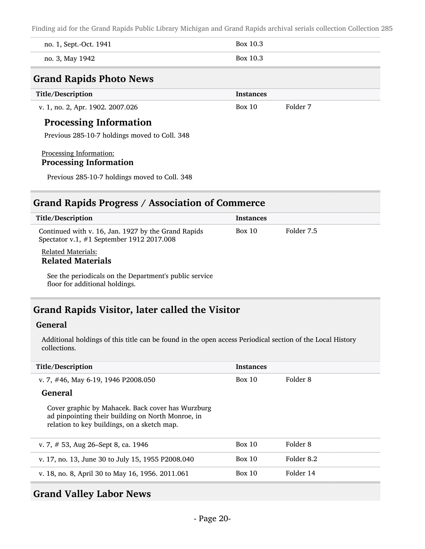| Crand Danide Dhoto Nawe |          |
|-------------------------|----------|
| no. 3, May 1942         | Box 10.3 |
| no. 1, Sept.-Oct. 1941  | Box 10.3 |

#### Grand Rapids Photo News

| Title/Description                | <b>Instances</b> |          |
|----------------------------------|------------------|----------|
| v. 1, no. 2, Apr. 1902. 2007.026 | Box 10           | Folder 7 |

#### Processing Information

Previous 285-10-7 holdings moved to Coll. 348

#### Processing Information: Processing Information

Previous 285-10-7 holdings moved to Coll. 348

#### Grand Rapids Progress / Association of Commerce

| Title/Description                                                                                | <b>Instances</b> |            |
|--------------------------------------------------------------------------------------------------|------------------|------------|
| Continued with v. 16, Jan. 1927 by the Grand Rapids<br>Spectator v.1, #1 September 1912 2017.008 | Box 10           | Folder 7.5 |
| <b>Related Materials:</b><br><b>Related Materials</b>                                            |                  |            |
| See the periodicals on the Department's public service<br>floor for additional holdings.         |                  |            |

## Grand Rapids Visitor, later called the Visitor

#### General

Additional holdings of this title can be found in the open access Periodical section of the Local History collections.

| Title/Description                                                                                                                                     | <b>Instances</b> |            |
|-------------------------------------------------------------------------------------------------------------------------------------------------------|------------------|------------|
| v. 7, #46, May 6-19, 1946 P2008.050                                                                                                                   | Box 10           | Folder 8   |
| General                                                                                                                                               |                  |            |
| Cover graphic by Mahacek. Back cover has Wurzburg<br>ad pinpointing their building on North Monroe, in<br>relation to key buildings, on a sketch map. |                  |            |
| v. 7, $\#$ 53, Aug 26–Sept 8, ca. 1946                                                                                                                | Box 10           | Folder 8   |
| v. 17, no. 13, June 30 to July 15, 1955 P2008.040                                                                                                     | Box 10           | Folder 8.2 |
| v. 18, no. 8, April 30 to May 16, 1956. 2011.061                                                                                                      | Box 10           | Folder 14  |

#### Grand Valley Labor News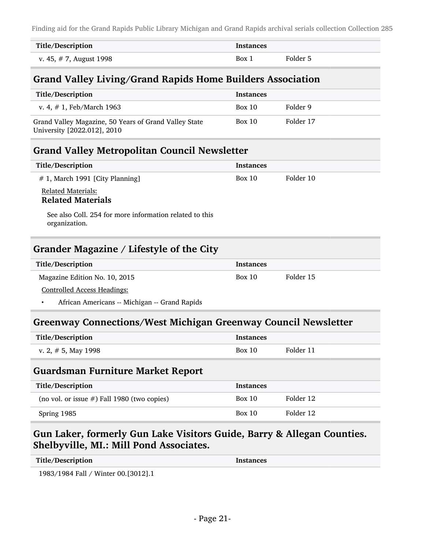| Title/Description       | <b>Instances</b> |          |
|-------------------------|------------------|----------|
| v. 45, # 7, August 1998 | Box 1            | Folder 5 |

## Grand Valley Living/Grand Rapids Home Builders Association

| Title/Description                                                                    | <b>Instances</b> |           |
|--------------------------------------------------------------------------------------|------------------|-----------|
| v. 4, $\#$ 1, Feb/March 1963                                                         | Box 10           | Folder 9  |
| Grand Valley Magazine, 50 Years of Grand Valley State<br>University [2022.012], 2010 | Box 10           | Folder 17 |

#### Grand Valley Metropolitan Council Newsletter

| Title/Description                              | <b>Instances</b> |           |
|------------------------------------------------|------------------|-----------|
| # 1, March 1991 [City Planning]                | Box 10           | Folder 10 |
| Related Materials:<br><b>Related Materials</b> |                  |           |

See also Coll. 254 for more information related to this organization.

### Grander Magazine / Lifestyle of the City

| Title/Description             | Instances |           |
|-------------------------------|-----------|-----------|
| Magazine Edition No. 10, 2015 | Box 10    | Folder 15 |
| Contualled Agorea Usedings    |           |           |

Controlled Access Headings:

• African Americans -- Michigan -- Grand Rapids

#### Greenway Connections/West Michigan Greenway Council Newsletter

| <b>Title/Description</b> | <b>Instances</b> |           |
|--------------------------|------------------|-----------|
| v. 2, $\#$ 5, May 1998   | Box 10           | Folder 11 |

#### Guardsman Furniture Market Report

| Title/Description                              | <b>Instances</b> |           |
|------------------------------------------------|------------------|-----------|
| (no vol. or issue $#$ ) Fall 1980 (two copies) | <b>Box 10</b>    | Folder 12 |
| Spring 1985                                    | Box 10           | Folder 12 |

## Gun Laker, formerly Gun Lake Visitors Guide, Barry & Allegan Counties. Shelbyville, MI.: Mill Pond Associates.

| Title/Description | <b>Instances</b> |
|-------------------|------------------|
|-------------------|------------------|

1983/1984 Fall / Winter 00.[3012].1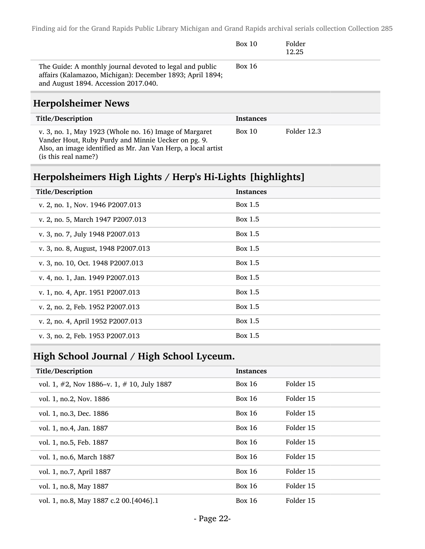|                                                                                                                                                               | Box 10        | Folder<br>12.25 |  |
|---------------------------------------------------------------------------------------------------------------------------------------------------------------|---------------|-----------------|--|
| The Guide: A monthly journal devoted to legal and public<br>affairs (Kalamazoo, Michigan): December 1893; April 1894;<br>and August 1894. Accession 2017.040. | <b>Box 16</b> |                 |  |

### Herpolsheimer News

| Title/Description                                                                                                                                                                                      | <b>Instances</b> |             |  |
|--------------------------------------------------------------------------------------------------------------------------------------------------------------------------------------------------------|------------------|-------------|--|
| v. 3, no. 1, May 1923 (Whole no. 16) Image of Margaret<br>Vander Hout, Ruby Purdy and Minnie Uecker on pg. 9.<br>Also, an image identified as Mr. Jan Van Herp, a local artist<br>(is this real name?) | Box 10           | Folder 12.3 |  |

## Herpolsheimers High Lights / Herp's Hi-Lights [highlights]

| <b>Instances</b> |
|------------------|
| Box 1.5          |
| Box 1.5          |
| Box 1.5          |
| Box 1.5          |
| Box 1.5          |
| Box 1.5          |
| Box 1.5          |
| Box 1.5          |
| Box 1.5          |
| Box 1.5          |
|                  |

## High School Journal / High School Lyceum.

| Title/Description                                 | <b>Instances</b> |           |
|---------------------------------------------------|------------------|-----------|
| vol. 1, $\#2$ , Nov 1886–v. 1, $\#$ 10, July 1887 | Box $16$         | Folder 15 |
| vol. 1, no.2, Nov. 1886                           | <b>Box 16</b>    | Folder 15 |
| vol. 1, no.3, Dec. 1886                           | <b>Box 16</b>    | Folder 15 |
| vol. 1, no. 4, Jan. 1887                          | <b>Box 16</b>    | Folder 15 |
| vol. 1, no.5, Feb. 1887                           | <b>Box 16</b>    | Folder 15 |
| vol. 1, no.6, March 1887                          | <b>Box 16</b>    | Folder 15 |
| vol. 1, no.7, April 1887                          | <b>Box 16</b>    | Folder 15 |
| vol. 1, no.8, May 1887                            | <b>Box 16</b>    | Folder 15 |
| vol. 1, no.8, May 1887 c.2 00.[4046].1            | <b>Box 16</b>    | Folder 15 |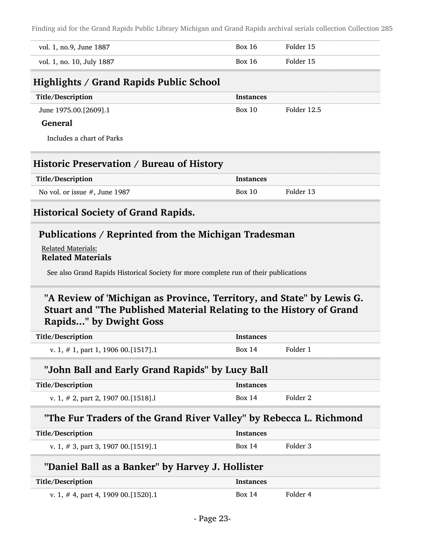| vol. 1, no.9, June 1887   | Box 16 | Folder 15 |
|---------------------------|--------|-----------|
| vol. 1, no. 10, July 1887 | Box 16 | Folder 15 |

### Highlights / Grand Rapids Public School

| Title/Description         | <b>Instances</b> |             |
|---------------------------|------------------|-------------|
| June 1975.00.[2609].1     | Box 10           | Folder 12.5 |
| <b>General</b>            |                  |             |
| Includes a chart of Parks |                  |             |

#### Historic Preservation / Bureau of History

| Title/Description                | Instances |           |
|----------------------------------|-----------|-----------|
| No vol. or issue $#$ , June 1987 | Box 10    | Folder 13 |

### Historical Society of Grand Rapids.

#### Publications / Reprinted from the Michigan Tradesman

Related Materials: Related Materials

See also Grand Rapids Historical Society for more complete run of their publications

## "A Review of 'Michigan as Province, Territory, and State" by Lewis G. Stuart and "The Published Material Relating to the History of Grand Rapids..." by Dwight Goss

| Title/Description                        | <b>Instances</b> |          |
|------------------------------------------|------------------|----------|
| v. 1, $\#$ 1, part 1, 1906 00. [1517]. 1 | Box 14           | Folder 1 |

#### "John Ball and Early Grand Rapids" by Lucy Ball

| Title/Description                      | <b>Instances</b> |          |
|----------------------------------------|------------------|----------|
| v. 1, $\#$ 2, part 2, 1907 00. [1518]. | Box 14           | Folder 2 |

#### "The Fur Traders of the Grand River Valley" by Rebecca L. Richmond

| Title/Description                     | Instances |          |
|---------------------------------------|-----------|----------|
| v. 1, # 3, part 3, 1907 00. [1519]. 1 | Box 14    | Folder 3 |

#### "Daniel Ball as a Banker" by Harvey J. Hollister

| Title/Description                     | <b>Instances</b> |          |
|---------------------------------------|------------------|----------|
| v. 1, # 4, part 4, 1909 00. [1520]. 1 | Box 14           | Folder 4 |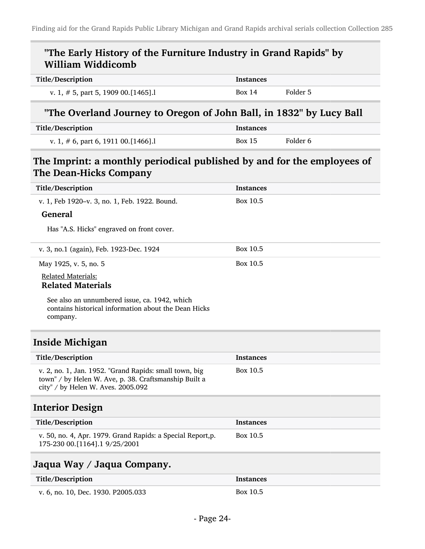## "The Early History of the Furniture Industry in Grand Rapids" by William Widdicomb

| Title/Description                   | Instances |          |
|-------------------------------------|-----------|----------|
| v. 1, # 5, part 5, 1909 00. [1465]. | Box 14    | Folder 5 |

### "The Overland Journey to Oregon of John Ball, in 1832" by Lucy Ball

| Title/Description                   | Instances     |          |
|-------------------------------------|---------------|----------|
| v. 1, # 6, part 6, 1911 00. [1466]. | <b>Box 15</b> | Folder 6 |

## The Imprint: a monthly periodical published by and for the employees of The Dean-Hicks Company

| Title/Description                                                                                                                                     | <b>Instances</b> |
|-------------------------------------------------------------------------------------------------------------------------------------------------------|------------------|
| v. 1, Feb 1920-v. 3, no. 1, Feb. 1922. Bound.                                                                                                         | Box 10.5         |
| <b>General</b>                                                                                                                                        |                  |
| Has "A.S. Hicks" engraved on front cover.                                                                                                             |                  |
| v. 3, no.1 (again), Feb. 1923-Dec. 1924                                                                                                               | Box 10.5         |
| May 1925, v. 5, no. 5                                                                                                                                 | Box 10.5         |
| <b>Related Materials:</b><br><b>Related Materials</b>                                                                                                 |                  |
| See also an unnumbered issue, ca. 1942, which<br>contains historical information about the Dean Hicks<br>company.                                     |                  |
| <b>Inside Michigan</b>                                                                                                                                |                  |
| Title/Description                                                                                                                                     | <b>Instances</b> |
| v. 2, no. 1, Jan. 1952. "Grand Rapids: small town, big<br>town" / by Helen W. Ave, p. 38. Craftsmanship Built a<br>city" / by Helen W. Aves. 2005.092 | Box 10.5         |
| <b>Interior Design</b>                                                                                                                                |                  |
| Title/Description                                                                                                                                     | <b>Instances</b> |
| v. 50, no. 4, Apr. 1979. Grand Rapids: a Special Report,p.<br>175-230 00.[1164].1 9/25/2001                                                           | Box 10.5         |
| Jaqua Way / Jaqua Company.                                                                                                                            |                  |
| Title/Description                                                                                                                                     | <b>Instances</b> |
| v. 6, no. 10, Dec. 1930. P2005.033                                                                                                                    | Box 10.5         |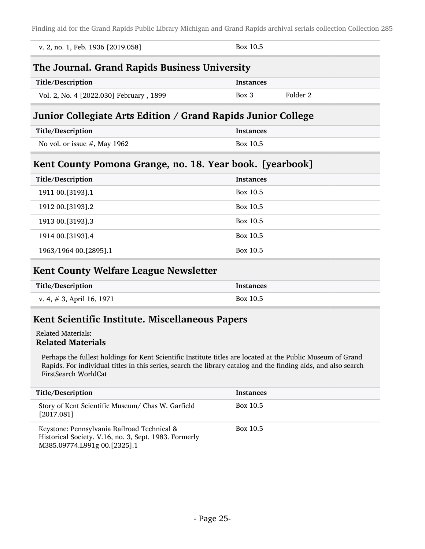| v. 2, no. 1, Feb. 1936 [2019.058]                            | Box 10.5            |  |  |
|--------------------------------------------------------------|---------------------|--|--|
| The Journal. Grand Rapids Business University                |                     |  |  |
| Title/Description                                            | <b>Instances</b>    |  |  |
| Vol. 2, No. 4 [2022.030] February, 1899                      | Folder 2<br>$Box$ 3 |  |  |
| Junior Collegiate Arts Edition / Grand Rapids Junior College |                     |  |  |
| Title/Description                                            | <b>Instances</b>    |  |  |
|                                                              |                     |  |  |
| No vol. or issue $#$ , May 1962                              | Box 10.5            |  |  |
| Kent County Pomona Grange, no. 18. Year book. [yearbook]     |                     |  |  |
| Title/Description                                            | <b>Instances</b>    |  |  |
| 1911 00.[3193].1                                             | Box 10.5            |  |  |
| 1912 00.[3193].2                                             | Box 10.5            |  |  |
| 1913 00. [3193] .3                                           | Box 10.5            |  |  |
| 1914 00.[3193].4                                             | Box 10.5            |  |  |

### Kent County Welfare League Newsletter

| Title/Description            | <b>Instances</b> |
|------------------------------|------------------|
| v. 4, $\#$ 3, April 16, 1971 | Box 10.5         |

### Kent Scientific Institute. Miscellaneous Papers

#### Related Materials: Related Materials

Perhaps the fullest holdings for Kent Scientific Institute titles are located at the Public Museum of Grand Rapids. For individual titles in this series, search the library catalog and the finding aids, and also search FirstSearch WorldCat

| Title/Description                                                                                                                    | <b>Instances</b> |
|--------------------------------------------------------------------------------------------------------------------------------------|------------------|
| Story of Kent Scientific Museum/ Chas W. Garfield<br>[2017.081]                                                                      | Box 10.5         |
| Keystone: Pennsylvania Railroad Technical &<br>Historical Society. V.16, no. 3, Sept. 1983. Formerly<br>M385.09774.L991g 00.[2325].1 | Box 10.5         |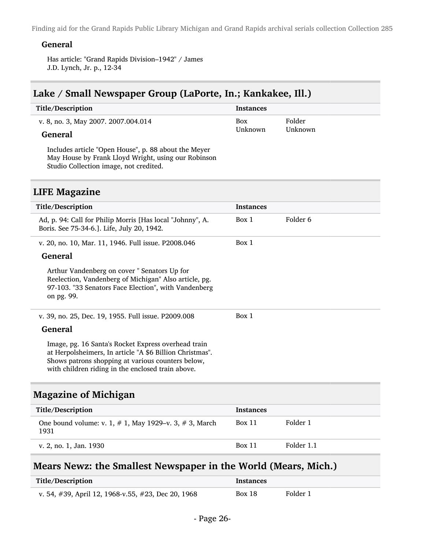#### General

Has article: "Grand Rapids Division–1942" / James J.D. Lynch, Jr. p., 12-34

#### Lake / Small Newspaper Group (LaPorte, In.; Kankakee, Ill.)

| Title/Description                   | Instances |         |
|-------------------------------------|-----------|---------|
| v. 8, no. 3, May 2007. 2007.004.014 | Box       | Folder  |
| <b>General</b>                      | Unknown   | Unknown |

Includes article "Open House", p. 88 about the Meyer May House by Frank Lloyd Wright, using our Robinson Studio Collection image, not credited.

#### LIFE Magazine

| Title/Description                                                                                                                                                                                                         | <b>Instances</b> |          |
|---------------------------------------------------------------------------------------------------------------------------------------------------------------------------------------------------------------------------|------------------|----------|
| Ad, p. 94: Call for Philip Morris [Has local "Johnny", A.<br>Boris. See 75-34-6.]. Life, July 20, 1942.                                                                                                                   | Box 1            | Folder 6 |
| v. 20, no. 10, Mar. 11, 1946. Full issue. P2008.046                                                                                                                                                                       | Box 1            |          |
| <b>General</b>                                                                                                                                                                                                            |                  |          |
| Arthur Vandenberg on cover "Senators Up for<br>Reelection, Vandenberg of Michigan" Also article, pg.<br>97-103. "33 Senators Face Election", with Vandenberg<br>on pg. 99.                                                |                  |          |
| v. 39, no. 25, Dec. 19, 1955. Full issue. P2009.008                                                                                                                                                                       | Box 1            |          |
| <b>General</b>                                                                                                                                                                                                            |                  |          |
| Image, pg. 16 Santa's Rocket Express overhead train<br>at Herpolsheimers, In article "A \$6 Billion Christmas".<br>Shows patrons shopping at various counters below,<br>with children riding in the enclosed train above. |                  |          |

#### Magazine of Michigan

| Title/Description                                                    | <b>Instances</b> |            |
|----------------------------------------------------------------------|------------------|------------|
| One bound volume: v. 1, $# 1$ , May 1929–v. 3, $# 3$ , March<br>1931 | <b>Box 11</b>    | Folder 1   |
| v. 2, no. 1, Jan. 1930                                               | <b>Box 11</b>    | Folder 1.1 |

### Mears Newz: the Smallest Newspaper in the World (Mears, Mich.)

| Title/Description                                  | <b>Instances</b> |          |
|----------------------------------------------------|------------------|----------|
| v. 54, #39, April 12, 1968-v.55, #23, Dec 20, 1968 | Box 18           | Folder 1 |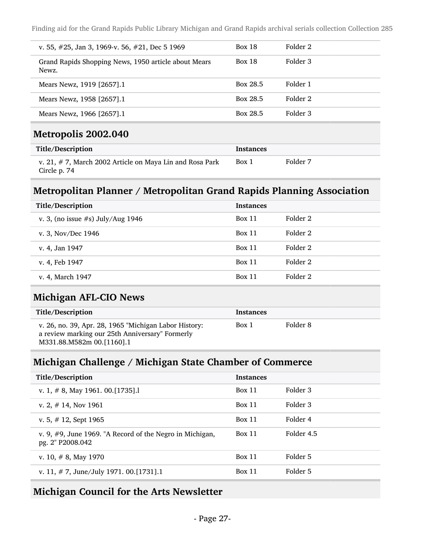| v. 55, $\#25$ , Jan 3, 1969-v. 56, $\#21$ , Dec 5 1969        | <b>Box 18</b> | Folder 2 |
|---------------------------------------------------------------|---------------|----------|
| Grand Rapids Shopping News, 1950 article about Mears<br>Newz. | <b>Box 18</b> | Folder 3 |
| Mears Newz, 1919 [2657].1                                     | Box 28.5      | Folder 1 |
| Mears Newz, 1958 [2657].1                                     | Box 28.5      | Folder 2 |
| Mears Newz, 1966 [2657].1                                     | Box 28.5      | Folder 3 |
| Metropolis 2002.040                                           |               |          |

| Title/Description                                                           | Instances |          |
|-----------------------------------------------------------------------------|-----------|----------|
| v. 21, $\#$ 7, March 2002 Article on Maya Lin and Rosa Park<br>Circle p. 74 | Box 1     | Folder 7 |

## Metropolitan Planner / Metropolitan Grand Rapids Planning Association

| Title/Description                    | <b>Instances</b> |          |
|--------------------------------------|------------------|----------|
| v. 3, (no issue $#s$ ) July/Aug 1946 | Box 11           | Folder 2 |
| v. 3, Nov/Dec 1946                   | <b>Box 11</b>    | Folder 2 |
| v. 4, Jan 1947                       | Box 11           | Folder 2 |
| v. 4, Feb 1947                       | Box 11           | Folder 2 |
| v. 4, March 1947                     | Box 11           | Folder 2 |

#### Michigan AFL-CIO News

| Title/Description                                                                                                                     | <b>Instances</b> |          |
|---------------------------------------------------------------------------------------------------------------------------------------|------------------|----------|
| v. 26, no. 39, Apr. 28, 1965 "Michigan Labor History:<br>a review marking our 25th Anniversary" Formerly<br>M331.88.M582m 00.[1160].1 | Box 1            | Folder 8 |

### Michigan Challenge / Michigan State Chamber of Commerce

| Title/Description                                                                | <b>Instances</b> |            |
|----------------------------------------------------------------------------------|------------------|------------|
| v. 1, $\#$ 8, May 1961. 00. [1735].                                              | Box 11           | Folder 3   |
| v. 2, $\#$ 14, Nov 1961                                                          | Box 11           | Folder 3   |
| v. 5, $\#$ 12, Sept 1965                                                         | Box 11           | Folder 4   |
| v. 9, $\#$ 9, June 1969. "A Record of the Negro in Michigan,<br>pg. 2" P2008.042 | <b>Box 11</b>    | Folder 4.5 |
| v. 10, $\#$ 8, May 1970                                                          | Box 11           | Folder 5   |
| v. 11, $\#$ 7, June/July 1971. 00. [1731]. 1                                     | Box 11           | Folder 5   |

## Michigan Council for the Arts Newsletter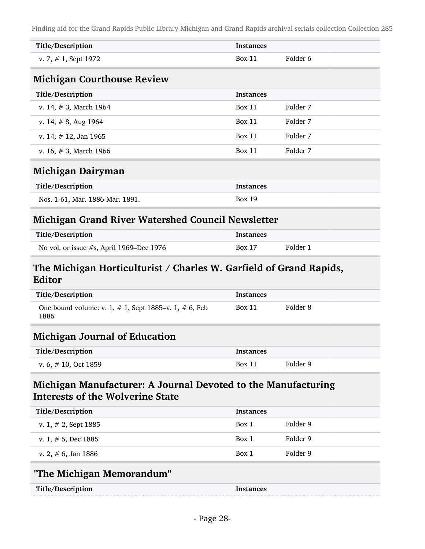| Title/Description                                                            | <b>Instances</b> |          |  |
|------------------------------------------------------------------------------|------------------|----------|--|
| v. 7, $# 1$ , Sept 1972                                                      | <b>Box 11</b>    | Folder 6 |  |
| <b>Michigan Courthouse Review</b>                                            |                  |          |  |
| Title/Description                                                            | <b>Instances</b> |          |  |
| v. 14, $# 3$ , March 1964                                                    | <b>Box 11</b>    | Folder 7 |  |
| v. 14, $# 8$ , Aug 1964                                                      | Box 11           | Folder 7 |  |
| v. 14, $\#$ 12, Jan 1965                                                     | Box 11           | Folder 7 |  |
| v. 16, $# 3$ , March 1966                                                    | <b>Box 11</b>    | Folder 7 |  |
| Michigan Dairyman                                                            |                  |          |  |
| Title/Description                                                            | <b>Instances</b> |          |  |
| Nos. 1-61, Mar. 1886-Mar. 1891.                                              | <b>Box 19</b>    |          |  |
| <b>Michigan Grand River Watershed Council Newsletter</b>                     |                  |          |  |
| Title/Description                                                            | <b>Instances</b> |          |  |
| No vol. or issue #s, April 1969–Dec 1976                                     | <b>Box 17</b>    | Folder 1 |  |
| The Michigan Horticulturist / Charles W. Garfield of Grand Rapids,<br>Editor |                  |          |  |

| Luitvi                                                              |                  |          |  |
|---------------------------------------------------------------------|------------------|----------|--|
| Title/Description                                                   | <b>Instances</b> |          |  |
| One bound volume: v. 1, $# 1$ , Sept 1885–v. 1, $# 6$ , Feb<br>1886 | Box 11           | Folder 8 |  |
| <b>Michigan Journal of Education</b>                                |                  |          |  |
| Title/Description                                                   | <b>Instances</b> |          |  |
| v. 6, $\#$ 10, Oct 1859                                             | Box 11           | Folder 9 |  |

## Michigan Manufacturer: A Journal Devoted to the Manufacturing Interests of the Wolverine State

| Title/Description       | <b>Instances</b> |          |
|-------------------------|------------------|----------|
| v. 1, $\#$ 2, Sept 1885 | Box 1            | Folder 9 |
| v. 1, $# 5$ , Dec 1885  | Box 1            | Folder 9 |
| v. 2, $\#$ 6, Jan 1886  | Box 1            | Folder 9 |

## "The Michigan Memorandum"

| Title/Description | Instances |
|-------------------|-----------|
|                   |           |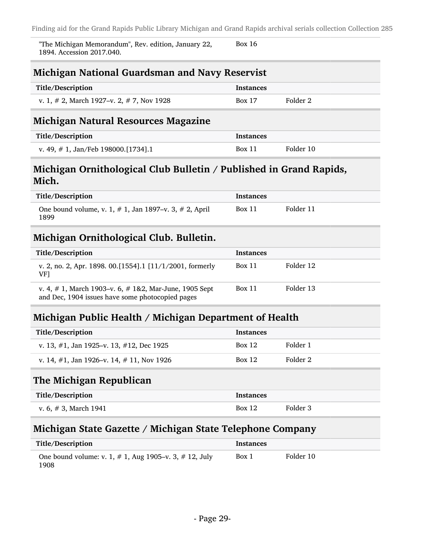"The Michigan Memorandum", Rev. edition, January 22, 1894. Accession 2017.040. Box 16

### Michigan National Guardsman and Navy Reservist

| Title/Description                               | <b>Instances</b> |          |
|-------------------------------------------------|------------------|----------|
| v. 1, $\#$ 2, March 1927–v. 2, $\#$ 7, Nov 1928 | <b>Box 17</b>    | Folder 2 |

### Michigan Natural Resources Magazine

| Title/Description                      | <b>Instances</b> |           |
|----------------------------------------|------------------|-----------|
| v. 49, $\#$ 1, Jan/Feb 198000.[1734].1 | <b>Box 11</b>    | Folder 10 |

### Michigan Ornithological Club Bulletin / Published in Grand Rapids, Mich.

| Title/Description                                                    | Instances     |           |
|----------------------------------------------------------------------|---------------|-----------|
| One bound volume, v. 1, $# 1$ , Jan 1897–v. 3, $# 2$ , April<br>1899 | <b>Box 11</b> | Folder 11 |

### Michigan Ornithological Club. Bulletin.

| Title/Description                                                                                                | <b>Instances</b> |           |
|------------------------------------------------------------------------------------------------------------------|------------------|-----------|
| v. 2, no. 2, Apr. 1898. 00. [1554]. 1 $[11/1/2001,$ formerly<br>VF1                                              | Box 11           | Folder 12 |
| v. 4, $\#$ 1, March 1903–v. 6, $\#$ 1&2, Mar-June, 1905 Sept<br>and Dec, 1904 issues have some photocopied pages | Box 11           | Folder 13 |

### Michigan Public Health / Michigan Department of Health

| Title/Description                                | <b>Instances</b> |          |
|--------------------------------------------------|------------------|----------|
| v. 13, $\#1$ , Jan 1925–v. 13, $\#12$ , Dec 1925 | <b>Box 12</b>    | Folder 1 |
| v. 14, $\#1$ , Jan 1926–v. 14, $\#$ 11, Nov 1926 | <b>Box 12</b>    | Folder 2 |

### The Michigan Republican

| Title/Description        | <b>Instances</b> |          |
|--------------------------|------------------|----------|
| v. 6, $\#$ 3, March 1941 | <b>Box 12</b>    | Folder 3 |

#### Michigan State Gazette / Michigan State Telephone Company

| Title/Description                                                    | Instances |           |
|----------------------------------------------------------------------|-----------|-----------|
| One bound volume: v. 1, $\#$ 1, Aug 1905–v. 3, $\#$ 12, July<br>1908 | Box 1     | Folder 10 |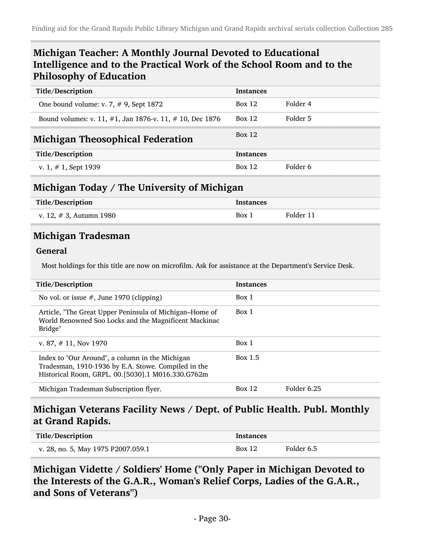## Michigan Teacher: A Monthly Journal Devoted to Educational Intelligence and to the Practical Work of the School Room and to the Philosophy of Education

| Title/Description                                       | <b>Instances</b> |          |
|---------------------------------------------------------|------------------|----------|
| One bound volume: v. 7, $\#$ 9, Sept 1872               | Box 12           | Folder 4 |
| Bound volumes: v. 11, #1, Jan 1876-v. 11, #10, Dec 1876 | Box 12           | Folder 5 |
| <b>Michigan Theosophical Federation</b>                 | Box 12           |          |
| Title/Description                                       | <b>Instances</b> |          |
| v. 1, $# 1$ , Sept 1939                                 | Box 12           | Folder 6 |

## Michigan Today / The University of Michigan

| Title/Description          | Instances |           |
|----------------------------|-----------|-----------|
| v. 12, $\#$ 3, Autumn 1980 | Box 1     | Folder 11 |

### Michigan Tradesman

#### General

Most holdings for this title are now on microfilm. Ask for assistance at the Department's Service Desk.

| Title/Description                                                                                                                                           | <b>Instances</b> |             |
|-------------------------------------------------------------------------------------------------------------------------------------------------------------|------------------|-------------|
| No vol. or issue $#$ , June 1970 (clipping)                                                                                                                 | Box 1            |             |
| Article, "The Great Upper Peninsula of Michigan–Home of<br>World Renowned Soo Locks and the Magnificent Mackinac<br>Bridge"                                 | Box 1            |             |
| v. 87, $\#$ 11, Nov 1970                                                                                                                                    | Box 1            |             |
| Index to "Our Around", a column in the Michigan<br>Tradesman, 1910-1936 by E.A. Stowe. Compiled in the<br>Historical Room, GRPL. 00.[5030].1 M016.330.G762m | Box 1.5          |             |
| Michigan Tradesman Subscription flyer.                                                                                                                      | Box 12           | Folder 6.25 |

#### Michigan Veterans Facility News / Dept. of Public Health. Publ. Monthly at Grand Rapids.

| Title/Description                  | <b>Instances</b> |            |
|------------------------------------|------------------|------------|
| v. 28, no. 5, May 1975 P2007.059.1 | <b>Box 12</b>    | Folder 6.5 |

Michigan Vidette / Soldiers' Home ("Only Paper in Michigan Devoted to the Interests of the G.A.R., Woman's Relief Corps, Ladies of the G.A.R., and Sons of Veterans")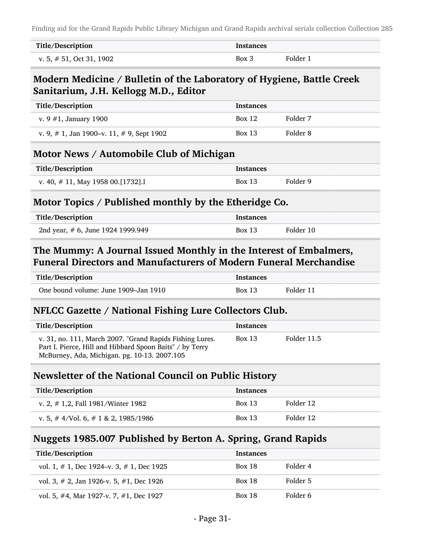| Title/Description           | Instances |          |
|-----------------------------|-----------|----------|
| v. 5, $\#$ 51, Oct 31, 1902 | Box 3     | Folder 1 |

#### Modern Medicine / Bulletin of the Laboratory of Hygiene, Battle Creek Sanitarium, J.H. Kellogg M.D., Editor

| Title/Description                               | <b>Instances</b> |          |
|-------------------------------------------------|------------------|----------|
| v. 9 $#1$ , January 1900                        | <b>Box 12</b>    | Folder 7 |
| v. 9, $\#$ 1, Jan 1900–v. 11, $\#$ 9, Sept 1902 | <b>Box 13</b>    | Folder 8 |

### Motor News / Automobile Club of Michigan

| Title/Description                    | Instances |          |
|--------------------------------------|-----------|----------|
| v. 40, $\#$ 11, May 1958 00.[1732].1 | Box 13    | Folder 9 |

### Motor Topics / Published monthly by the Etheridge Co.

| Title/Description                 | <b>Instances</b> |           |
|-----------------------------------|------------------|-----------|
| 2nd year, # 6, June 1924 1999.949 | <b>Box 13</b>    | Folder 10 |

### The Mummy: A Journal Issued Monthly in the Interest of Embalmers, Funeral Directors and Manufacturers of Modern Funeral Merchandise

| Title/Description                    | <b>Instances</b> |           |
|--------------------------------------|------------------|-----------|
| One bound volume: June 1909–Jan 1910 | Box 13           | Folder 11 |

#### NFLCC Gazette / National Fishing Lure Collectors Club.

| Title/Description                                                                                                                                                    | <b>Instances</b> |             |
|----------------------------------------------------------------------------------------------------------------------------------------------------------------------|------------------|-------------|
| v. 31, no. 111, March 2007. "Grand Rapids Fishing Lures.<br>Part I. Pierce, Hill and Hibbard Spoon Baits" / by Terry<br>McBurney, Ada, Michigan. pg. 10-13. 2007.105 | Box 13           | Folder 11.5 |

#### Newsletter of the National Council on Public History

| Title/Description                          | <b>Instances</b> |           |
|--------------------------------------------|------------------|-----------|
| v. 2, $\#$ 1,2, Fall 1981/Winter 1982      | <b>Box 13</b>    | Folder 12 |
| v. 5, $\#$ 4/Vol. 6, $\#$ 1 & 2, 1985/1986 | <b>Box 13</b>    | Folder 12 |

### Nuggets 1985.007 Published by Berton A. Spring, Grand Rapids

| Title/Description                               | <b>Instances</b> |          |
|-------------------------------------------------|------------------|----------|
| vol. 1, $\#$ 1, Dec 1924–v. 3, $\#$ 1, Dec 1925 | <b>Box 18</b>    | Folder 4 |
| vol. 3, $\#$ 2, Jan 1926-v. 5, $\#1$ , Dec 1926 | <b>Box 18</b>    | Folder 5 |
| vol. 5, #4, Mar 1927-v. 7, #1, Dec 1927         | <b>Box 18</b>    | Folder 6 |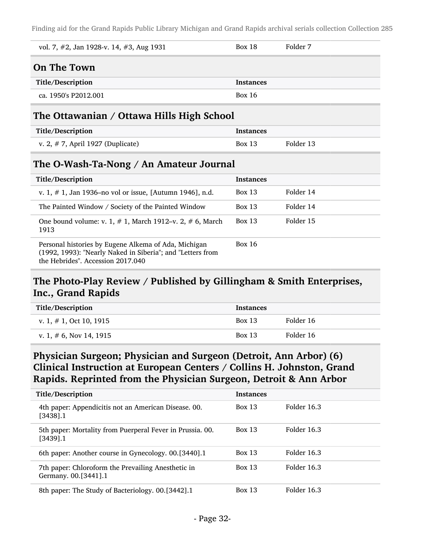| vol. 7, $\#2$ , Jan 1928-v. 14, $\#3$ , Aug 1931                       | <b>Box 18</b>    | Folder 7  |
|------------------------------------------------------------------------|------------------|-----------|
| <b>On The Town</b>                                                     |                  |           |
| Title/Description                                                      | <b>Instances</b> |           |
| ca. 1950's P2012.001                                                   | <b>Box 16</b>    |           |
| The Ottawanian / Ottawa Hills High School                              |                  |           |
| Title/Description                                                      | <b>Instances</b> |           |
| v. 2, $# 7$ , April 1927 (Duplicate)                                   | <b>Box 13</b>    | Folder 13 |
| The O-Wash-Ta-Nong / An Amateur Journal                                |                  |           |
| Title/Description                                                      | <b>Instances</b> |           |
| v. 1, $\#$ 1, Jan 1936–no vol or issue, [Autumn 1946], n.d.            | Box $13$         | Folder 14 |
| The Painted Window / Society of the Painted Window                     | Box $13$         | Folder 14 |
| One bound volume: v. 1, $# 1$ , March 1912–v. 2, $# 6$ , March<br>1913 | <b>Box 13</b>    | Folder 15 |
| Personal histories by Eugene Alkema of Ada, Michigan                   | <b>Box 16</b>    |           |

(1992, 1993): "Nearly Naked in Siberia"; and "Letters from the Hebrides". Accession 2017.040

## The Photo-Play Review / Published by Gillingham & Smith Enterprises, Inc., Grand Rapids

| Title/Description          | <b>Instances</b> |           |
|----------------------------|------------------|-----------|
| v. 1, $\#$ 1, Oct 10, 1915 | <b>Box 13</b>    | Folder 16 |
| v. 1, $\#$ 6, Nov 14, 1915 | <b>Box 13</b>    | Folder 16 |

## Physician Surgeon; Physician and Surgeon (Detroit, Ann Arbor) (6) Clinical Instruction at European Centers / Collins H. Johnston, Grand Rapids. Reprinted from the Physician Surgeon, Detroit & Ann Arbor

| Title/Description                                                          | <b>Instances</b> |             |
|----------------------------------------------------------------------------|------------------|-------------|
| 4th paper: Appendicitis not an American Disease. 00.<br>[3438].1           | <b>Box 13</b>    | Folder 16.3 |
| 5th paper: Mortality from Puerperal Fever in Prussia. 00.<br>[3439].1      | <b>Box 13</b>    | Folder 16.3 |
| 6th paper: Another course in Gynecology. 00.[3440].1                       | <b>Box 13</b>    | Folder 16.3 |
| 7th paper: Chloroform the Prevailing Anesthetic in<br>Germany. 00.[3441].1 | <b>Box 13</b>    | Folder 16.3 |
| 8th paper: The Study of Bacteriology. 00.[3442].1                          | <b>Box 13</b>    | Folder 16.3 |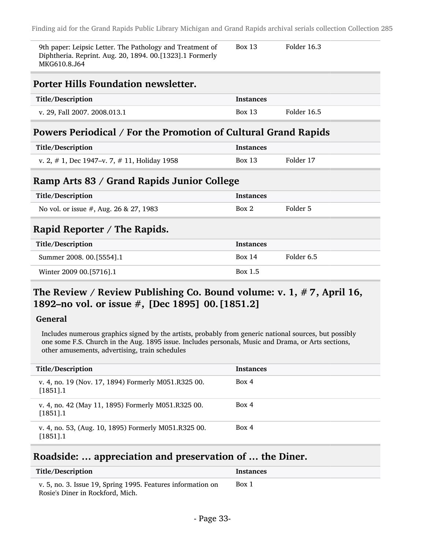| 9th paper: Leipsic Letter. The Pathology and Treatment of<br>Diphtheria. Reprint. Aug. 20, 1894. 00.[1323].1 Formerly<br>MKG610.8.J64 | <b>Box 13</b>    | Folder 16.3 |  |
|---------------------------------------------------------------------------------------------------------------------------------------|------------------|-------------|--|
| <b>Porter Hills Foundation newsletter.</b>                                                                                            |                  |             |  |
| Title/Description                                                                                                                     | <b>Instances</b> |             |  |
| v. 29, Fall 2007. 2008.013.1                                                                                                          | Box 13           | Folder 16.5 |  |
| Powers Periodical / For the Promotion of Cultural Grand Rapids                                                                        |                  |             |  |
| Title/Description                                                                                                                     | <b>Instances</b> |             |  |

| v. 2, $\#$ 1, Dec 1947–v. 7, $\#$ 11, Holiday 1958 | Box 13 | Folder 17 |
|----------------------------------------------------|--------|-----------|

#### Ramp Arts 83 / Grand Rapids Junior College

| Title/Description                         | <b>Instances</b> |            |
|-------------------------------------------|------------------|------------|
| No vol. or issue $#$ , Aug. 26 & 27, 1983 | Box 2            | Folder 5   |
| Rapid Reporter / The Rapids.              |                  |            |
|                                           |                  |            |
| Title/Description                         | <b>Instances</b> |            |
| Summer 2008. 00. [5554]. 1                | Box 14           | Folder 6.5 |

### The Review / Review Publishing Co. Bound volume: v. 1, # 7, April 16, 1892–no vol. or issue #, [Dec 1895] 00.[1851.2]

#### General

Includes numerous graphics signed by the artists, probably from generic national sources, but possibly one some F.S. Church in the Aug. 1895 issue. Includes personals, Music and Drama, or Arts sections, other amusements, advertising, train schedules

| Title/Description                                                  | <b>Instances</b> |
|--------------------------------------------------------------------|------------------|
| v. 4, no. 19 (Nov. 17, 1894) Formerly M051.R325 00.<br>$[1851]$ .1 | Box 4            |
| v. 4, no. 42 (May 11, 1895) Formerly M051.R325 00.<br>$[1851]$ .1  | Box 4            |
| v. 4, no. 53, (Aug. 10, 1895) Formerly M051.R325 00.<br>[1851].1   | Box 4            |

### Roadside: … appreciation and preservation of … the Diner.

| Title/Description                                           | Instances |
|-------------------------------------------------------------|-----------|
| v. 5, no. 3. Issue 19, Spring 1995. Features information on | Box 1     |
| Rosie's Diner in Rockford, Mich.                            |           |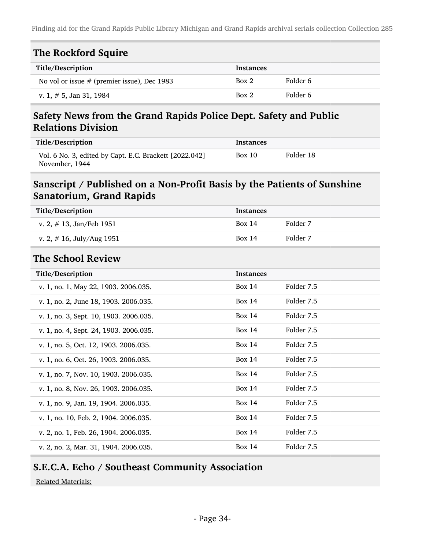| The Rockford Squire                           |                  |          |
|-----------------------------------------------|------------------|----------|
| Title/Description                             | <b>Instances</b> |          |
| No vol or issue $#$ (premier issue), Dec 1983 | Box 2            | Folder 6 |
| v. 1, $\#$ 5, Jan 31, 1984                    | Box 2            | Folder 6 |

## Safety News from the Grand Rapids Police Dept. Safety and Public Relations Division

| Title/Description                                                        | Instances |           |
|--------------------------------------------------------------------------|-----------|-----------|
| Vol. 6 No. 3, edited by Capt. E.C. Brackett [2022.042]<br>November, 1944 | Box 10    | Folder 18 |

### Sanscript / Published on a Non-Profit Basis by the Patients of Sunshine Sanatorium, Grand Rapids

| Title/Description                      | <b>Instances</b> |            |
|----------------------------------------|------------------|------------|
| v. 2, $\#$ 13, Jan/Feb 1951            | <b>Box 14</b>    | Folder 7   |
| v. 2, $\#$ 16, July/Aug 1951           | <b>Box 14</b>    | Folder 7   |
| <b>The School Review</b>               |                  |            |
| Title/Description                      | <b>Instances</b> |            |
| v. 1, no. 1, May 22, 1903. 2006.035.   | <b>Box 14</b>    | Folder 7.5 |
| v. 1, no. 2, June 18, 1903. 2006.035.  | <b>Box 14</b>    | Folder 7.5 |
| v. 1, no. 3, Sept. 10, 1903. 2006.035. | <b>Box 14</b>    | Folder 7.5 |
| v. 1, no. 4, Sept. 24, 1903. 2006.035. | <b>Box 14</b>    | Folder 7.5 |
| v. 1, no. 5, Oct. 12, 1903. 2006.035.  | <b>Box 14</b>    | Folder 7.5 |
| v. 1, no. 6, Oct. 26, 1903. 2006.035.  | <b>Box 14</b>    | Folder 7.5 |
| v. 1, no. 7, Nov. 10, 1903. 2006.035.  | <b>Box 14</b>    | Folder 7.5 |
| v. 1, no. 8, Nov. 26, 1903. 2006.035.  | <b>Box 14</b>    | Folder 7.5 |
| v. 1, no. 9, Jan. 19, 1904. 2006.035.  | <b>Box 14</b>    | Folder 7.5 |
| v. 1, no. 10, Feb. 2, 1904. 2006.035.  | <b>Box 14</b>    | Folder 7.5 |
| v. 2, no. 1, Feb. 26, 1904. 2006.035.  | <b>Box 14</b>    | Folder 7.5 |
| v. 2, no. 2, Mar. 31, 1904. 2006.035.  | <b>Box 14</b>    | Folder 7.5 |

## S.E.C.A. Echo / Southeast Community Association

Related Materials: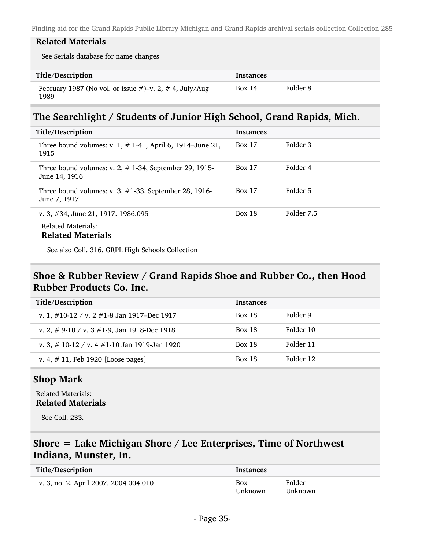#### Related Materials

See Serials database for name changes

| Title/Description                                                   | Instances |          |
|---------------------------------------------------------------------|-----------|----------|
| February 1987 (No vol. or issue $#$ )–v. 2, $#$ 4, July/Aug<br>1989 | Box 14    | Folder 8 |

### The Searchlight / Students of Junior High School, Grand Rapids, Mich.

| Title/Description                                                                               | <b>Instances</b> |            |
|-------------------------------------------------------------------------------------------------|------------------|------------|
| Three bound volumes: v. 1, $# 1-41$ , April 6, 1914–June 21,<br>1915                            | <b>Box 17</b>    | Folder 3   |
| Three bound volumes: v. 2, $\#$ 1-34, September 29, 1915-<br>June 14, 1916                      | <b>Box 17</b>    | Folder 4   |
| Three bound volumes: v. 3, $\#1-33$ , September 28, 1916-<br>June 7, 1917                       | <b>Box 17</b>    | Folder 5   |
| v. 3, $\#34$ , June 21, 1917. 1986.095<br><b>Related Materials:</b><br><b>Related Materials</b> | <b>Box 18</b>    | Folder 7.5 |

See also Coll. 316, GRPL High Schools Collection

### Shoe & Rubber Review / Grand Rapids Shoe and Rubber Co., then Hood Rubber Products Co. Inc.

| Title/Description                                 | <b>Instances</b> |           |
|---------------------------------------------------|------------------|-----------|
| v. 1, $\#10-12 / v$ . 2 $\#1-8$ Jan 1917–Dec 1917 | <b>Box 18</b>    | Folder 9  |
| v. 2, # 9-10 / v. 3 #1-9, Jan 1918-Dec 1918       | <b>Box 18</b>    | Folder 10 |
| v. 3, # 10-12 / v. 4 #1-10 Jan 1919-Jan 1920      | <b>Box 18</b>    | Folder 11 |
| v. 4, $\#$ 11, Feb 1920 [Loose pages]             | <b>Box 18</b>    | Folder 12 |

#### Shop Mark

Related Materials: Related Materials

See Coll. 233.

## Shore = Lake Michigan Shore / Lee Enterprises, Time of Northwest Indiana, Munster, In.

| Title/Description                     | <b>Instances</b> |                   |
|---------------------------------------|------------------|-------------------|
| v. 3, no. 2, April 2007. 2004.004.010 | Box<br>Unknown   | Folder<br>Unknown |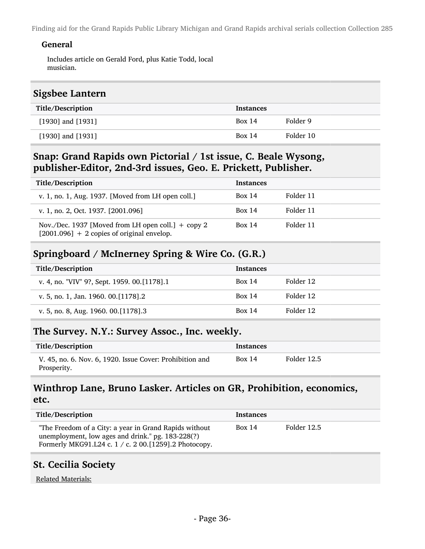#### General

Includes article on Gerald Ford, plus Katie Todd, local musician.

#### Sigsbee Lantern

| Title/Description     | <b>Instances</b> |           |
|-----------------------|------------------|-----------|
| $[1930]$ and $[1931]$ | <b>Box 14</b>    | Folder 9  |
| $[1930]$ and $[1931]$ | Box 14           | Folder 10 |

#### Snap: Grand Rapids own Pictorial / 1st issue, C. Beale Wysong, publisher-Editor, 2nd-3rd issues, Geo. E. Prickett, Publisher.

| Title/Description                                                                                    | <b>Instances</b> |           |
|------------------------------------------------------------------------------------------------------|------------------|-----------|
| v. 1, no. 1, Aug. 1937. [Moved from LH open coll.]                                                   | <b>Box 14</b>    | Folder 11 |
| v. 1, no. 2, Oct. 1937. [2001.096]                                                                   | <b>Box 14</b>    | Folder 11 |
| Nov./Dec. 1937 [Moved from LH open coll.] $+$ copy 2<br>$[2001.096] + 2$ copies of original envelop. | <b>Box 14</b>    | Folder 11 |

### Springboard / McInerney Spring & Wire Co. (G.R.)

| Title/Description                           | <b>Instances</b> |           |
|---------------------------------------------|------------------|-----------|
| v. 4, no. "VIV" 9?, Sept. 1959. 00.[1178].1 | <b>Box 14</b>    | Folder 12 |
| v. 5, no. 1, Jan. 1960. 00. [1178]. 2       | <b>Box 14</b>    | Folder 12 |
| v. 5, no. 8, Aug. 1960. 00. [1178].3        | Box 14           | Folder 12 |

#### The Survey. N.Y.: Survey Assoc., Inc. weekly.

| Title/Description                                                       | Instances |             |
|-------------------------------------------------------------------------|-----------|-------------|
| V. 45, no. 6. Nov. 6, 1920. Issue Cover: Prohibition and<br>Prosperity. | Box 14    | Folder 12.5 |

### Winthrop Lane, Bruno Lasker. Articles on GR, Prohibition, economics, etc.

| Title/Description                                                                                                                                                    | Instances |             |
|----------------------------------------------------------------------------------------------------------------------------------------------------------------------|-----------|-------------|
| "The Freedom of a City: a year in Grand Rapids without<br>unemployment, low ages and drink." pg. 183-228(?)<br>Formerly MKG91.L24 c. 1 / c. 2 00.[1259].2 Photocopy. | Box 14    | Folder 12.5 |

## St. Cecilia Society

Related Materials: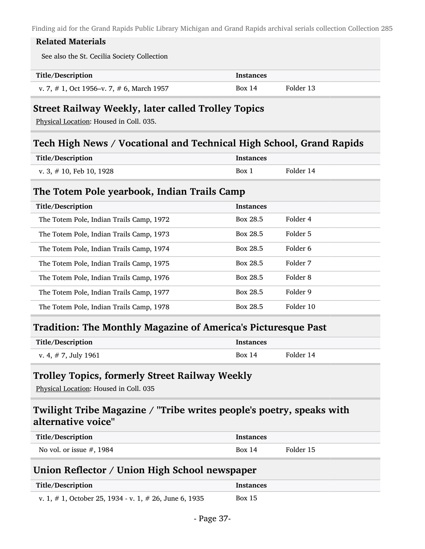#### Related Materials

See also the St. Cecilia Society Collection

| Title/Description                               | <b>Instances</b> |           |
|-------------------------------------------------|------------------|-----------|
| v. 7, $\#$ 1, Oct 1956–v. 7, $\#$ 6, March 1957 | Box 14           | Folder 13 |

#### Street Railway Weekly, later called Trolley Topics

Physical Location: Housed in Coll. 035.

#### Tech High News / Vocational and Technical High School, Grand Rapids

| Title/Description           | <b>Instances</b> |           |
|-----------------------------|------------------|-----------|
| v. 3, $\#$ 10, Feb 10, 1928 | Box 1            | Folder 14 |

#### The Totem Pole yearbook, Indian Trails Camp

| Title/Description                        | <b>Instances</b> |           |
|------------------------------------------|------------------|-----------|
| The Totem Pole, Indian Trails Camp, 1972 | Box 28.5         | Folder 4  |
| The Totem Pole, Indian Trails Camp, 1973 | Box 28.5         | Folder 5  |
| The Totem Pole, Indian Trails Camp, 1974 | Box 28.5         | Folder 6  |
| The Totem Pole, Indian Trails Camp, 1975 | Box 28.5         | Folder 7  |
| The Totem Pole, Indian Trails Camp, 1976 | Box 28.5         | Folder 8  |
| The Totem Pole, Indian Trails Camp, 1977 | Box 28.5         | Folder 9  |
| The Totem Pole, Indian Trails Camp, 1978 | Box 28.5         | Folder 10 |

### Tradition: The Monthly Magazine of America's Picturesque Past

| Title/Description       | <b>Instances</b> |           |
|-------------------------|------------------|-----------|
| v. 4, $\#$ 7, July 1961 | Box 14           | Folder 14 |

#### Trolley Topics, formerly Street Railway Weekly

Physical Location: Housed in Coll. 035

#### Twilight Tribe Magazine / "Tribe writes people's poetry, speaks with alternative voice"

| Title/Description           | <b>Instances</b> |           |
|-----------------------------|------------------|-----------|
| No vol. or issue $#$ , 1984 | Box $14$         | Folder 15 |

### Union Reflector / Union High School newspaper

| Title/Description                                            | <b>Instances</b> |
|--------------------------------------------------------------|------------------|
| v. 1, $\#$ 1, October 25, 1934 - v. 1, $\#$ 26, June 6, 1935 | Box 15           |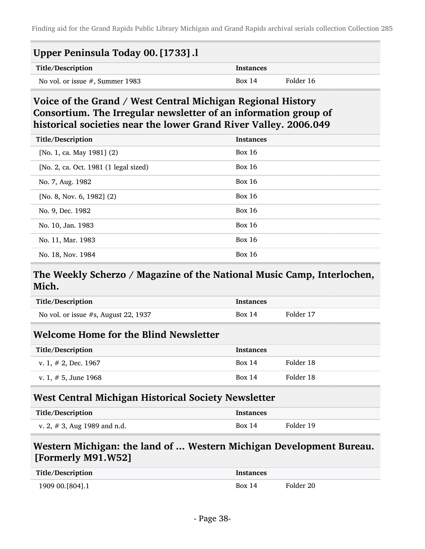| Upper Peninsula Today 00. [1733] .l |                  |           |
|-------------------------------------|------------------|-----------|
| Title/Description                   | <b>Instances</b> |           |
| No vol. or issue $#$ , Summer 1983  | Box 14           | Folder 16 |

### Voice of the Grand / West Central Michigan Regional History Consortium. The Irregular newsletter of an information group of historical societies near the lower Grand River Valley. 2006.049

| Title/Description                     | <b>Instances</b> |
|---------------------------------------|------------------|
| [No. 1, ca. May 1981] $(2)$           | Box $16$         |
| [No. 2, ca. Oct. 1981 (1 legal sized) | Box $16$         |
| No. 7, Aug. 1982                      | Box $16$         |
| [No. 8, Nov. 6, 1982] $(2)$           | Box $16$         |
| No. 9, Dec. 1982                      | <b>Box 16</b>    |
| No. 10, Jan. 1983                     | <b>Box 16</b>    |
| No. 11, Mar. 1983                     | <b>Box 16</b>    |
| No. 18, Nov. 1984                     | <b>Box 16</b>    |

### The Weekly Scherzo / Magazine of the National Music Camp, Interlochen, Mich.

| Title/Description                       | <b>Instances</b> |           |
|-----------------------------------------|------------------|-----------|
| No vol. or issue $#s$ , August 22, 1937 | Box 14           | Folder 17 |
| Welcome Home for the Blind Newsletter   |                  |           |
| Title/Description                       | <b>Instances</b> |           |
|                                         |                  |           |
| v. 1, $\#$ 2, Dec. 1967                 | Box 14           | Folder 18 |

#### West Central Michigan Historical Society Newsletter

| Title/Description               | <b>Instances</b> |           |
|---------------------------------|------------------|-----------|
| v. 2, $\#$ 3, Aug 1989 and n.d. | Box 14           | Folder 19 |

### Western Michigan: the land of ... Western Michigan Development Bureau. [Formerly M91.W52]

| Title/Description  | Instances |           |
|--------------------|-----------|-----------|
| 1909 00. [804] . 1 | Box 14    | Folder 20 |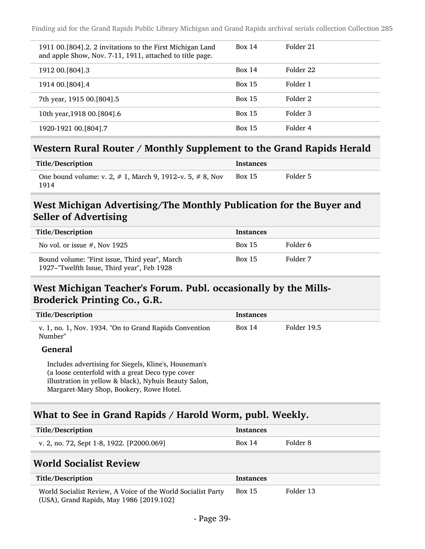| 1911 00. [804]. 2. 2 invitations to the First Michigan Land<br>and apple Show, Nov. 7-11, 1911, attached to title page. | <b>Box 14</b> | Folder 21 |
|-------------------------------------------------------------------------------------------------------------------------|---------------|-----------|
| 1912 00. [804] .3                                                                                                       | <b>Box 14</b> | Folder 22 |
| 1914 00. [804] .4                                                                                                       | <b>Box 15</b> | Folder 1  |
| 7th year, 1915 00.[804].5                                                                                               | <b>Box 15</b> | Folder 2  |
| 10th year, 1918 00. [804].6                                                                                             | <b>Box 15</b> | Folder 3  |
| 1920-1921 00. [804] .7                                                                                                  | <b>Box 15</b> | Folder 4  |

#### Western Rural Router / Monthly Supplement to the Grand Rapids Herald

| Title/Description                                                       | <b>Instances</b> |          |
|-------------------------------------------------------------------------|------------------|----------|
| One bound volume: v. 2, $\#$ 1, March 9, 1912–v. 5, $\#$ 8, Nov<br>1914 | <b>Box 15</b>    | Folder 5 |

## West Michigan Advertising/The Monthly Publication for the Buyer and Seller of Advertising

| Title/Description                                                                            | <b>Instances</b> |          |
|----------------------------------------------------------------------------------------------|------------------|----------|
| No vol. or issue $#$ , Nov 1925                                                              | <b>Box 15</b>    | Folder 6 |
| Bound volume: "First issue, Third year", March<br>1927–"Twelfth Issue, Third year", Feb 1928 | <b>Box 15</b>    | Folder 7 |

## West Michigan Teacher's Forum. Publ. occasionally by the Mills-Broderick Printing Co., G.R.

| Title/Description                                                 | Instances |             |
|-------------------------------------------------------------------|-----------|-------------|
| v. 1, no. 1, Nov. 1934. "On to Grand Rapids Convention<br>Number" | Box 14    | Folder 19.5 |
| $\sim$ $-1$                                                       |           |             |

#### General

Includes advertising for Siegels, Kline's, Houseman's (a loose centerfold with a great Deco type cover illustration in yellow & black), Nyhuis Beauty Salon, Margaret-Mary Shop, Bookery, Rowe Hotel.

## What to See in Grand Rapids / Harold Worm, publ. Weekly.

| Title/Description                         | Instances |          |
|-------------------------------------------|-----------|----------|
| v. 2, no. 72, Sept 1-8, 1922. [P2000.069] | Box 14    | Folder 8 |

#### World Socialist Review

| Title/Description                                                                                        | <b>Instances</b> |           |
|----------------------------------------------------------------------------------------------------------|------------------|-----------|
| World Socialist Review, A Voice of the World Socialist Party<br>(USA), Grand Rapids, May 1986 [2019.102] | <b>Box 15</b>    | Folder 13 |